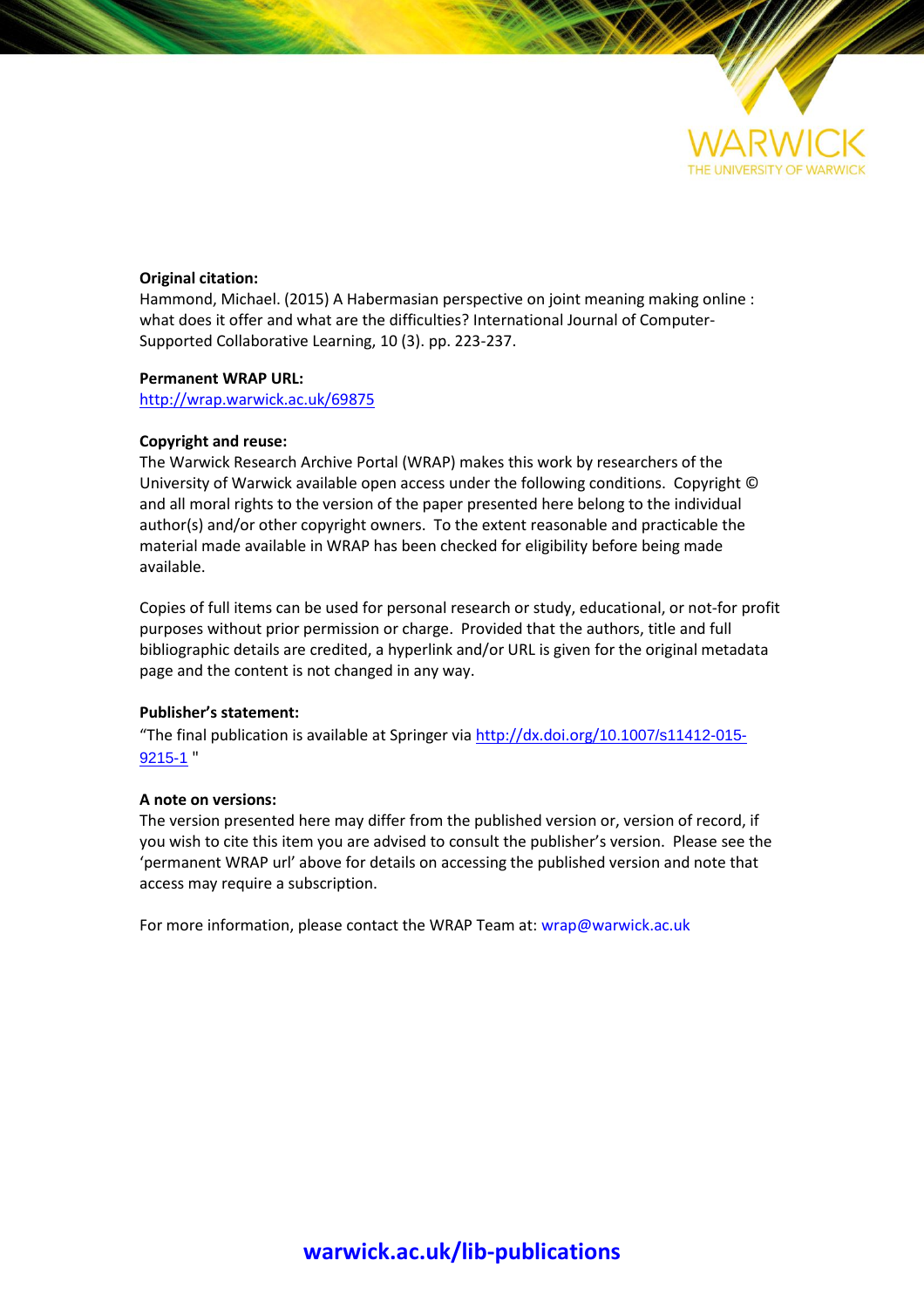

# **Original citation:**

Hammond, Michael. (2015) A Habermasian perspective on joint meaning making online : what does it offer and what are the difficulties? International Journal of Computer-Supported Collaborative Learning, 10 (3). pp. 223-237.

#### **Permanent WRAP URL:**

<http://wrap.warwick.ac.uk/69875>

### **Copyright and reuse:**

The Warwick Research Archive Portal (WRAP) makes this work by researchers of the University of Warwick available open access under the following conditions. Copyright © and all moral rights to the version of the paper presented here belong to the individual author(s) and/or other copyright owners. To the extent reasonable and practicable the material made available in WRAP has been checked for eligibility before being made available.

Copies of full items can be used for personal research or study, educational, or not-for profit purposes without prior permission or charge. Provided that the authors, title and full bibliographic details are credited, a hyperlink and/or URL is given for the original metadata page and the content is not changed in any way.

# **Publisher's statement:**

"The final publication is available at Springer via http://dx.doi.org/[10.1007/s11412-015-](http://dx.doi.org/10.1007/s11412-015-9215-1) [9215-1](http://dx.doi.org/10.1007/s11412-015-9215-1) "

#### **A note on versions:**

The version presented here may differ from the published version or, version of record, if you wish to cite this item you are advised to consult the publisher's version. Please see the 'permanent WRAP url' above for details on accessing the published version and note that access may require a subscription.

For more information, please contact the WRAP Team at[: wrap@warwick.ac.uk](mailto:wrap@warwick.ac.uk)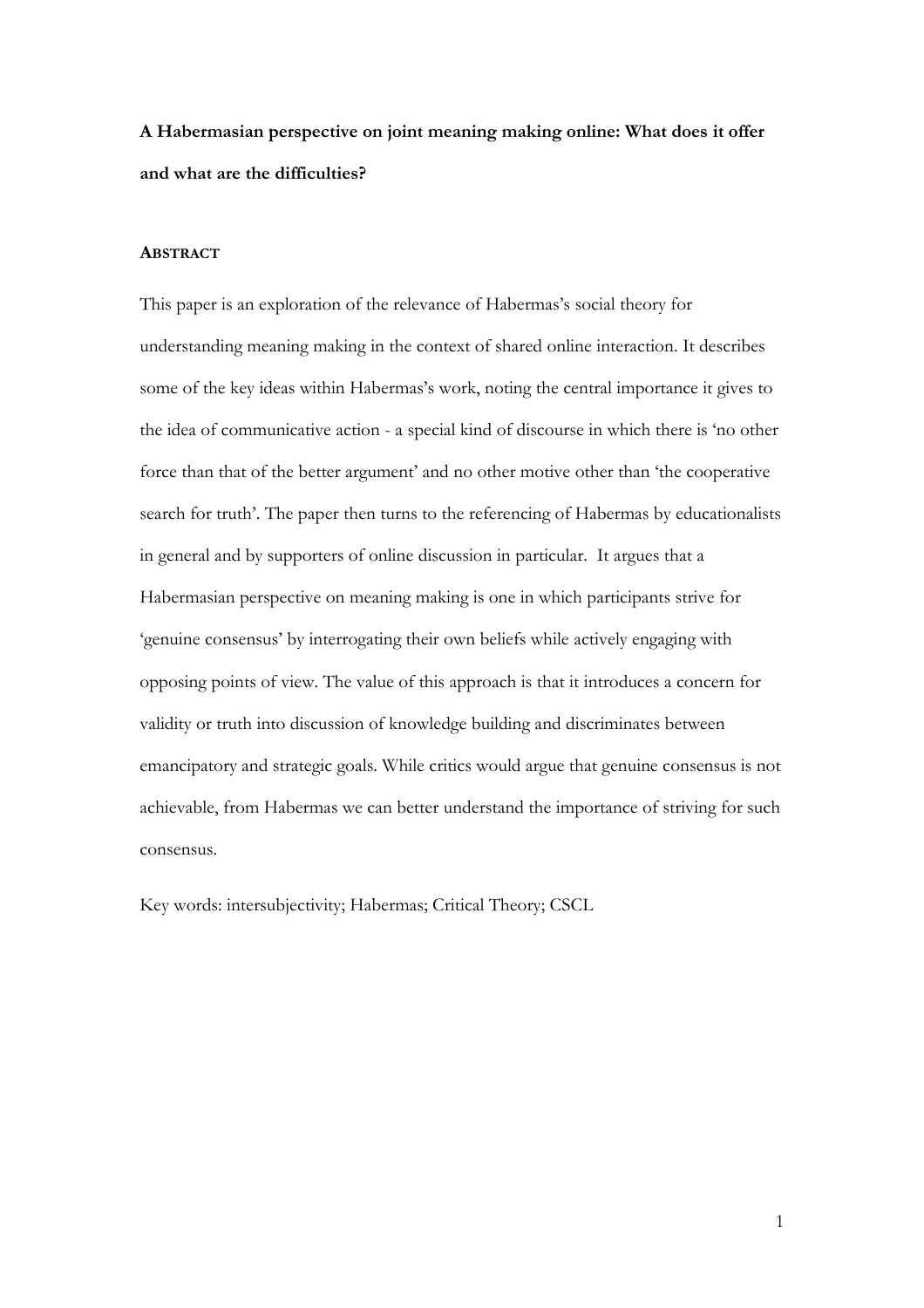**A Habermasian perspective on joint meaning making online: What does it offer and what are the difficulties?**

## **ABSTRACT**

This paper is an exploration of the relevance of Habermas's social theory for understanding meaning making in the context of shared online interaction. It describes some of the key ideas within Habermas's work, noting the central importance it gives to the idea of communicative action - a special kind of discourse in which there is 'no other force than that of the better argument' and no other motive other than 'the cooperative search for truth'. The paper then turns to the referencing of Habermas by educationalists in general and by supporters of online discussion in particular. It argues that a Habermasian perspective on meaning making is one in which participants strive for 'genuine consensus' by interrogating their own beliefs while actively engaging with opposing points of view. The value of this approach is that it introduces a concern for validity or truth into discussion of knowledge building and discriminates between emancipatory and strategic goals. While critics would argue that genuine consensus is not achievable, from Habermas we can better understand the importance of striving for such consensus.

Key words: intersubjectivity; Habermas; Critical Theory; CSCL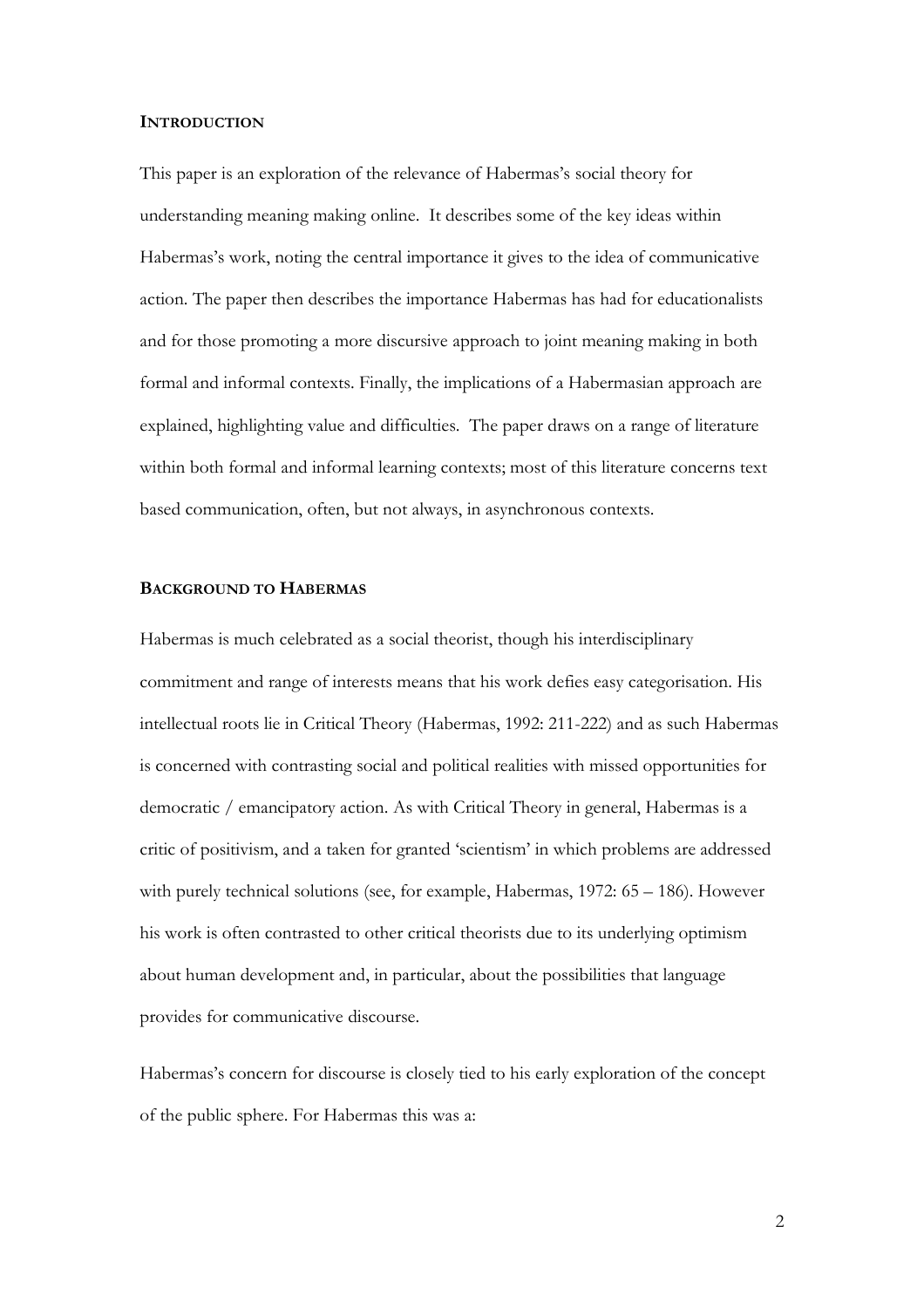#### **INTRODUCTION**

This paper is an exploration of the relevance of Habermas's social theory for understanding meaning making online. It describes some of the key ideas within Habermas's work, noting the central importance it gives to the idea of communicative action. The paper then describes the importance Habermas has had for educationalists and for those promoting a more discursive approach to joint meaning making in both formal and informal contexts. Finally, the implications of a Habermasian approach are explained, highlighting value and difficulties. The paper draws on a range of literature within both formal and informal learning contexts; most of this literature concerns text based communication, often, but not always, in asynchronous contexts.

## **BACKGROUND TO HABERMAS**

Habermas is much celebrated as a social theorist, though his interdisciplinary commitment and range of interests means that his work defies easy categorisation. His intellectual roots lie in Critical Theory (Habermas, 1992: 211-222) and as such Habermas is concerned with contrasting social and political realities with missed opportunities for democratic / emancipatory action. As with Critical Theory in general, Habermas is a critic of positivism, and a taken for granted 'scientism' in which problems are addressed with purely technical solutions (see, for example, Habermas, 1972: 65 – 186). However his work is often contrasted to other critical theorists due to its underlying optimism about human development and, in particular, about the possibilities that language provides for communicative discourse.

Habermas's concern for discourse is closely tied to his early exploration of the concept of the public sphere. For Habermas this was a: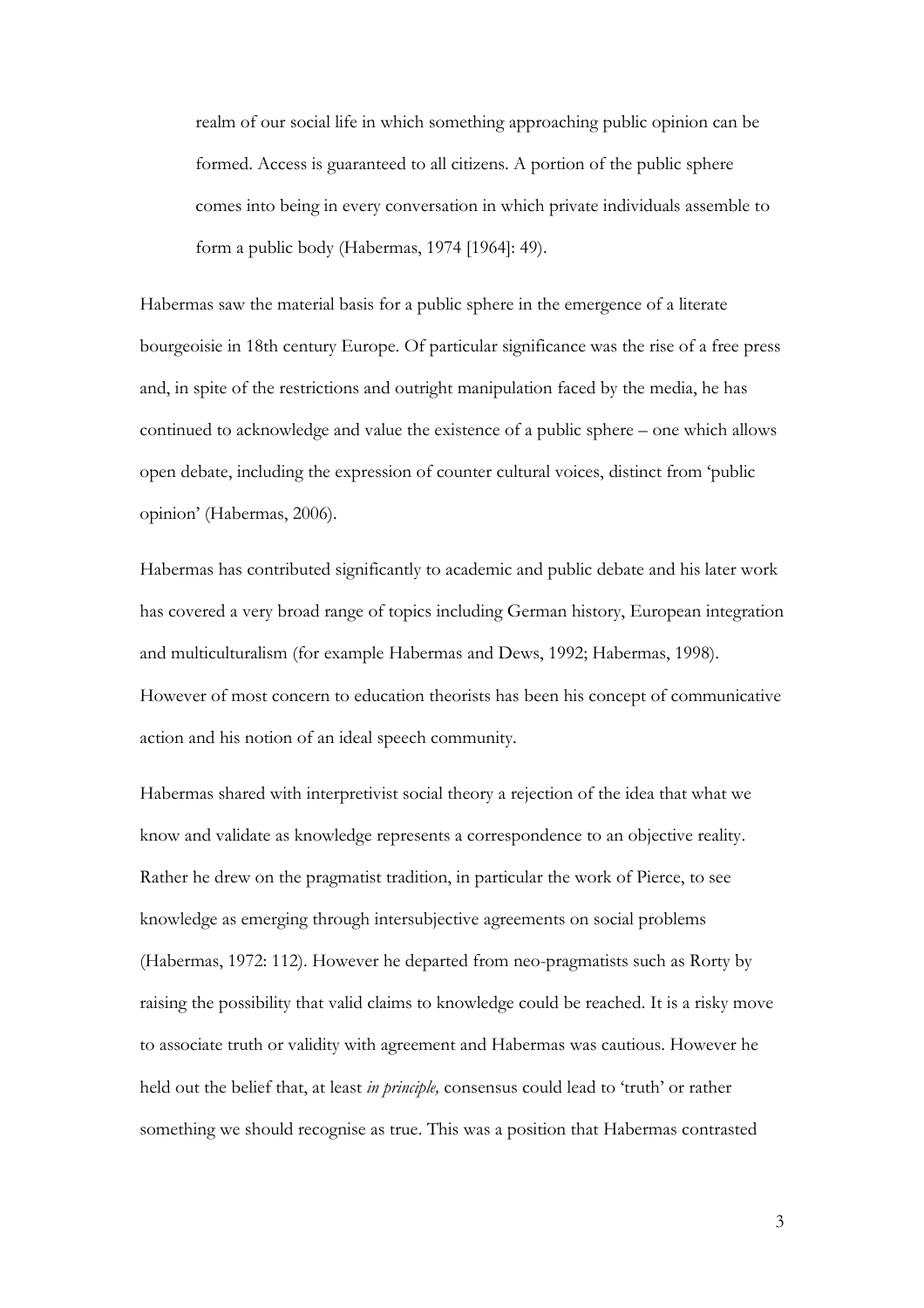realm of our social life in which something approaching public opinion can be formed. Access is guaranteed to all citizens. A portion of the public sphere comes into being in every conversation in which private individuals assemble to form a public body (Habermas, 1974 [1964]: 49).

Habermas saw the material basis for a public sphere in the emergence of a literate bourgeoisie in 18th century Europe. Of particular significance was the rise of a free press and, in spite of the restrictions and outright manipulation faced by the media, he has continued to acknowledge and value the existence of a public sphere – one which allows open debate, including the expression of counter cultural voices, distinct from 'public opinion' (Habermas, 2006).

Habermas has contributed significantly to academic and public debate and his later work has covered a very broad range of topics including German history, European integration and multiculturalism (for example Habermas and Dews, 1992; Habermas, 1998). However of most concern to education theorists has been his concept of communicative action and his notion of an ideal speech community.

Habermas shared with interpretivist social theory a rejection of the idea that what we know and validate as knowledge represents a correspondence to an objective reality. Rather he drew on the pragmatist tradition, in particular the work of Pierce, to see knowledge as emerging through intersubjective agreements on social problems (Habermas, 1972: 112). However he departed from neo-pragmatists such as Rorty by raising the possibility that valid claims to knowledge could be reached. It is a risky move to associate truth or validity with agreement and Habermas was cautious. However he held out the belief that, at least *in principle,* consensus could lead to 'truth' or rather something we should recognise as true. This was a position that Habermas contrasted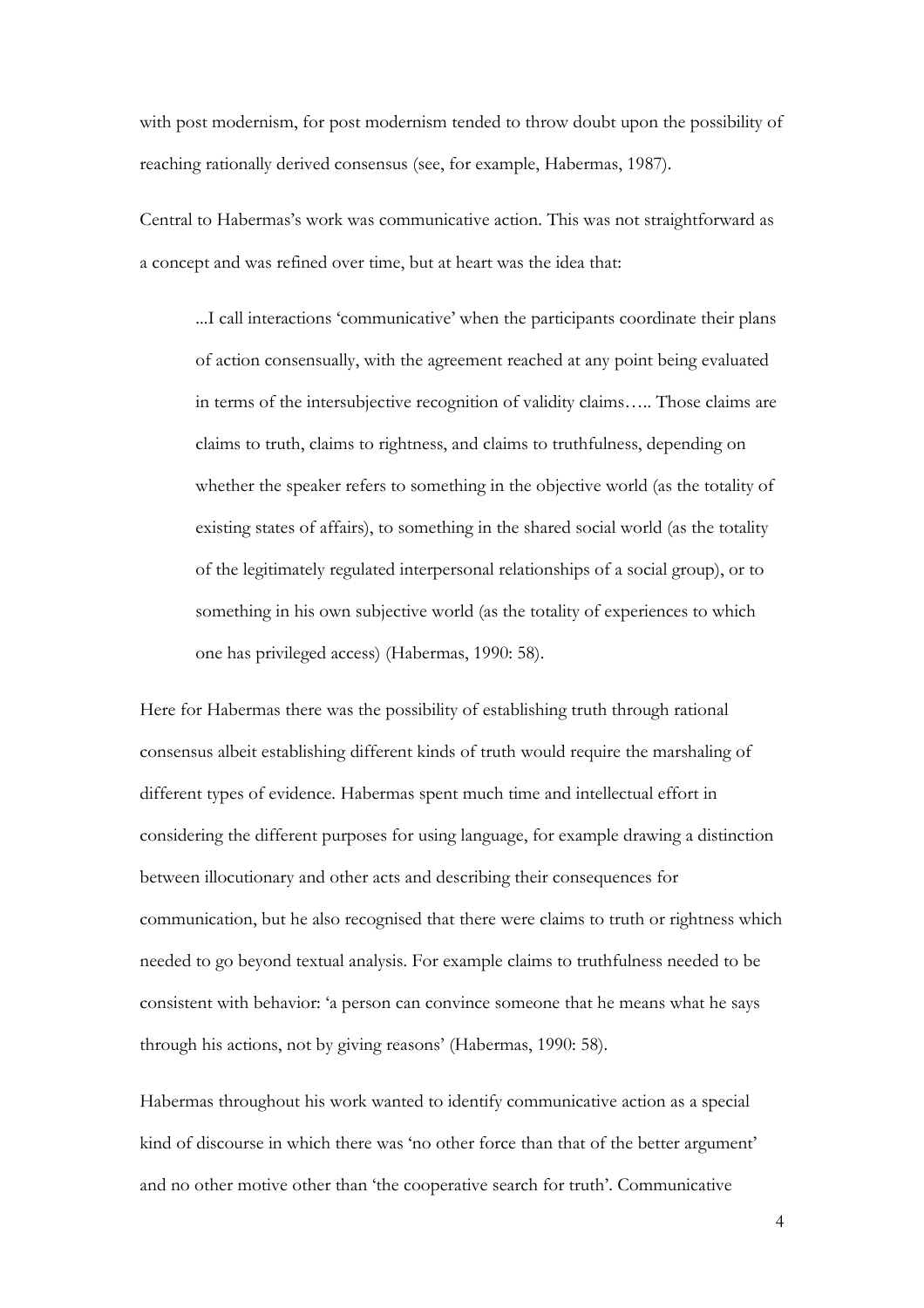with post modernism, for post modernism tended to throw doubt upon the possibility of reaching rationally derived consensus (see, for example, Habermas, 1987).

Central to Habermas's work was communicative action. This was not straightforward as a concept and was refined over time, but at heart was the idea that:

...I call interactions 'communicative' when the participants coordinate their plans of action consensually, with the agreement reached at any point being evaluated in terms of the intersubjective recognition of validity claims….. Those claims are claims to truth, claims to rightness, and claims to truthfulness, depending on whether the speaker refers to something in the objective world (as the totality of existing states of affairs), to something in the shared social world (as the totality of the legitimately regulated interpersonal relationships of a social group), or to something in his own subjective world (as the totality of experiences to which one has privileged access) (Habermas, 1990: 58).

Here for Habermas there was the possibility of establishing truth through rational consensus albeit establishing different kinds of truth would require the marshaling of different types of evidence. Habermas spent much time and intellectual effort in considering the different purposes for using language, for example drawing a distinction between illocutionary and other acts and describing their consequences for communication, but he also recognised that there were claims to truth or rightness which needed to go beyond textual analysis. For example claims to truthfulness needed to be consistent with behavior: 'a person can convince someone that he means what he says through his actions, not by giving reasons' (Habermas, 1990: 58).

Habermas throughout his work wanted to identify communicative action as a special kind of discourse in which there was 'no other force than that of the better argument' and no other motive other than 'the cooperative search for truth'. Communicative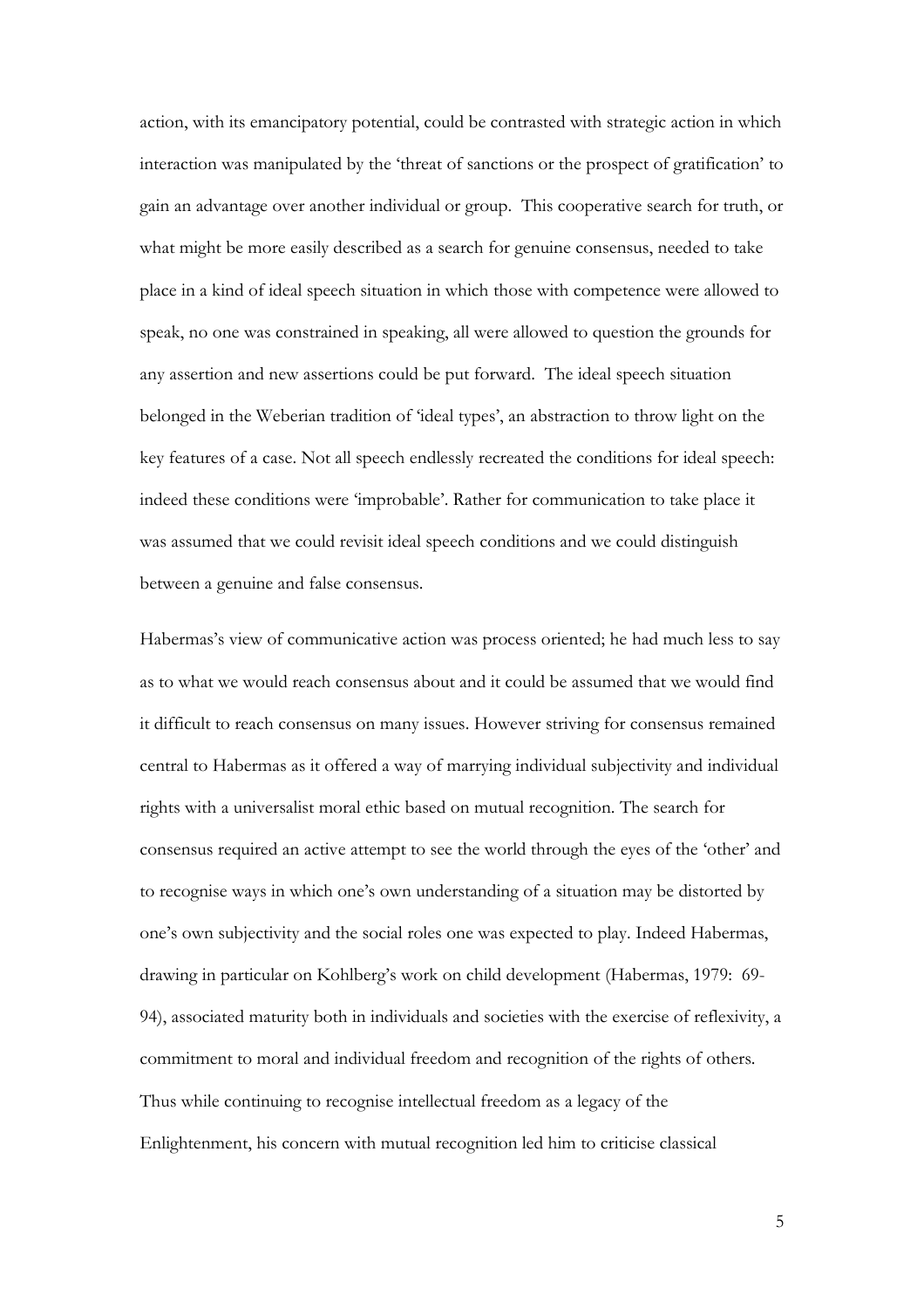action, with its emancipatory potential, could be contrasted with strategic action in which interaction was manipulated by the 'threat of sanctions or the prospect of gratification' to gain an advantage over another individual or group. This cooperative search for truth, or what might be more easily described as a search for genuine consensus, needed to take place in a kind of ideal speech situation in which those with competence were allowed to speak, no one was constrained in speaking, all were allowed to question the grounds for any assertion and new assertions could be put forward. The ideal speech situation belonged in the Weberian tradition of 'ideal types', an abstraction to throw light on the key features of a case. Not all speech endlessly recreated the conditions for ideal speech: indeed these conditions were 'improbable'. Rather for communication to take place it was assumed that we could revisit ideal speech conditions and we could distinguish between a genuine and false consensus.

Habermas's view of communicative action was process oriented; he had much less to say as to what we would reach consensus about and it could be assumed that we would find it difficult to reach consensus on many issues. However striving for consensus remained central to Habermas as it offered a way of marrying individual subjectivity and individual rights with a universalist moral ethic based on mutual recognition. The search for consensus required an active attempt to see the world through the eyes of the 'other' and to recognise ways in which one's own understanding of a situation may be distorted by one's own subjectivity and the social roles one was expected to play. Indeed Habermas, drawing in particular on Kohlberg's work on child development (Habermas, 1979: 69- 94), associated maturity both in individuals and societies with the exercise of reflexivity, a commitment to moral and individual freedom and recognition of the rights of others. Thus while continuing to recognise intellectual freedom as a legacy of the Enlightenment, his concern with mutual recognition led him to criticise classical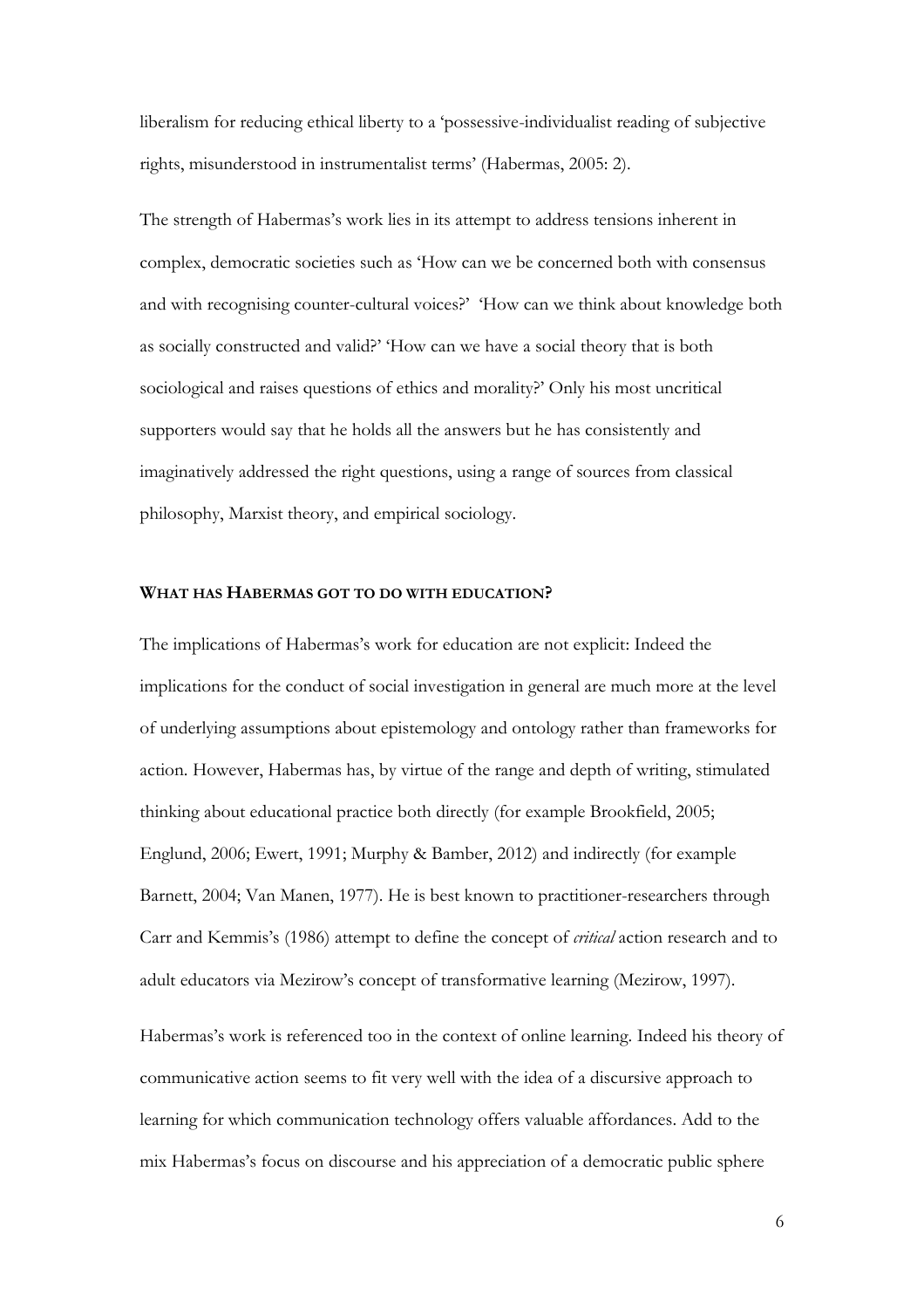liberalism for reducing ethical liberty to a 'possessive-individualist reading of subjective rights, misunderstood in instrumentalist terms' (Habermas, 2005: 2).

The strength of Habermas's work lies in its attempt to address tensions inherent in complex, democratic societies such as 'How can we be concerned both with consensus and with recognising counter-cultural voices?' 'How can we think about knowledge both as socially constructed and valid?' 'How can we have a social theory that is both sociological and raises questions of ethics and morality?' Only his most uncritical supporters would say that he holds all the answers but he has consistently and imaginatively addressed the right questions, using a range of sources from classical philosophy, Marxist theory, and empirical sociology.

## **WHAT HAS HABERMAS GOT TO DO WITH EDUCATION?**

The implications of Habermas's work for education are not explicit: Indeed the implications for the conduct of social investigation in general are much more at the level of underlying assumptions about epistemology and ontology rather than frameworks for action. However, Habermas has, by virtue of the range and depth of writing, stimulated thinking about educational practice both directly (for example Brookfield, 2005; Englund, 2006; Ewert, 1991; Murphy & Bamber, 2012) and indirectly (for example Barnett, 2004; Van Manen, 1977). He is best known to practitioner-researchers through Carr and Kemmis's (1986) attempt to define the concept of *critical* action research and to adult educators via Mezirow's concept of transformative learning (Mezirow, 1997).

Habermas's work is referenced too in the context of online learning. Indeed his theory of communicative action seems to fit very well with the idea of a discursive approach to learning for which communication technology offers valuable affordances. Add to the mix Habermas's focus on discourse and his appreciation of a democratic public sphere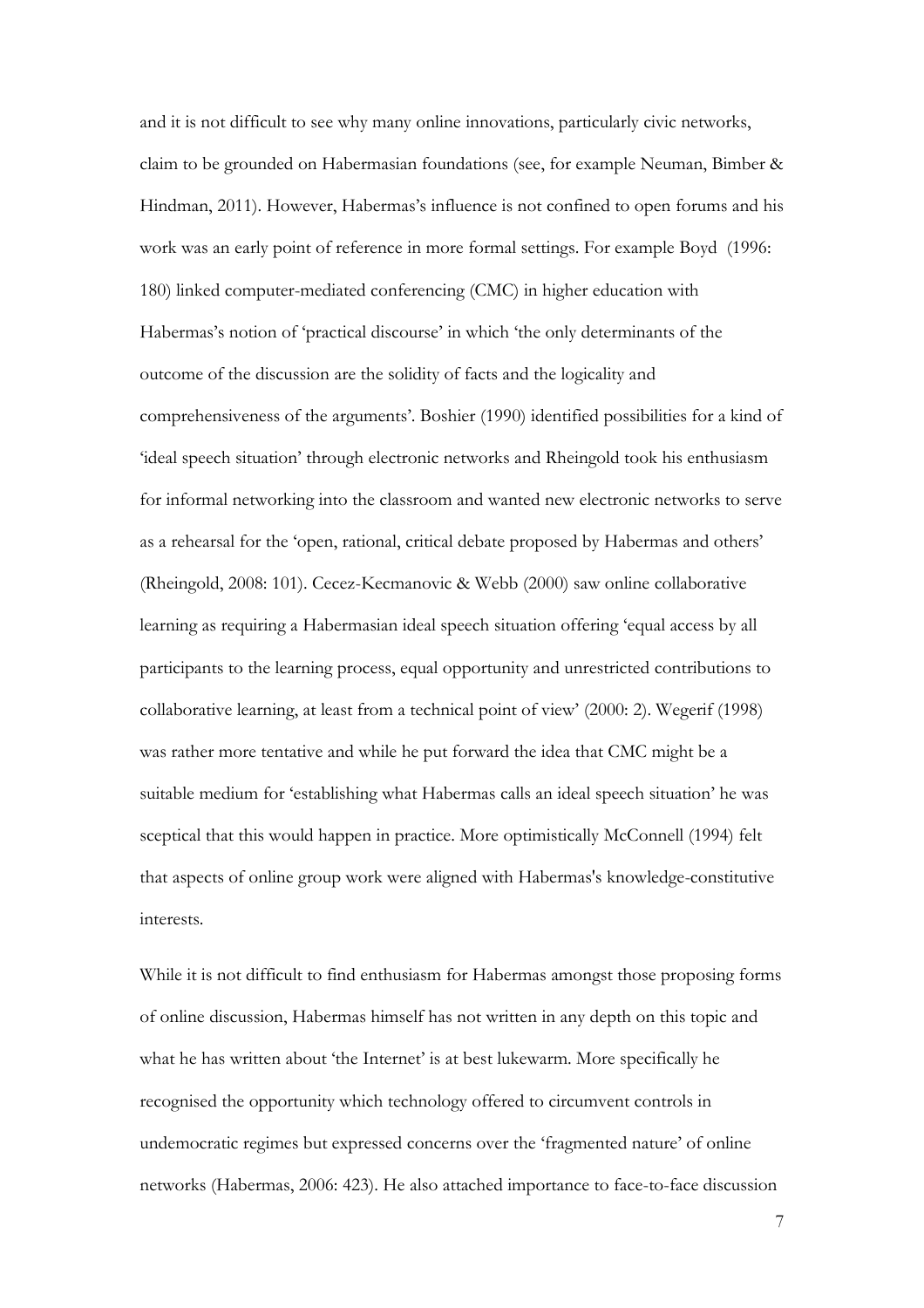and it is not difficult to see why many online innovations, particularly civic networks, claim to be grounded on Habermasian foundations (see, for example Neuman, Bimber & Hindman, 2011). However, Habermas's influence is not confined to open forums and his work was an early point of reference in more formal settings. For example Boyd (1996: 180) linked computer-mediated conferencing (CMC) in higher education with Habermas's notion of 'practical discourse' in which 'the only determinants of the outcome of the discussion are the solidity of facts and the logicality and comprehensiveness of the arguments'. Boshier (1990) identified possibilities for a kind of 'ideal speech situation' through electronic networks and Rheingold took his enthusiasm for informal networking into the classroom and wanted new electronic networks to serve as a rehearsal for the 'open, rational, critical debate proposed by Habermas and others' (Rheingold, 2008: 101). Cecez-Kecmanovic & Webb (2000) saw online collaborative learning as requiring a Habermasian ideal speech situation offering 'equal access by all participants to the learning process, equal opportunity and unrestricted contributions to collaborative learning, at least from a technical point of view' (2000: 2). Wegerif (1998) was rather more tentative and while he put forward the idea that CMC might be a suitable medium for 'establishing what Habermas calls an ideal speech situation' he was sceptical that this would happen in practice. More optimistically McConnell (1994) felt that aspects of online group work were aligned with Habermas's knowledge-constitutive interests.

While it is not difficult to find enthusiasm for Habermas amongst those proposing forms of online discussion, Habermas himself has not written in any depth on this topic and what he has written about 'the Internet' is at best lukewarm. More specifically he recognised the opportunity which technology offered to circumvent controls in undemocratic regimes but expressed concerns over the 'fragmented nature' of online networks (Habermas, 2006: 423). He also attached importance to face-to-face discussion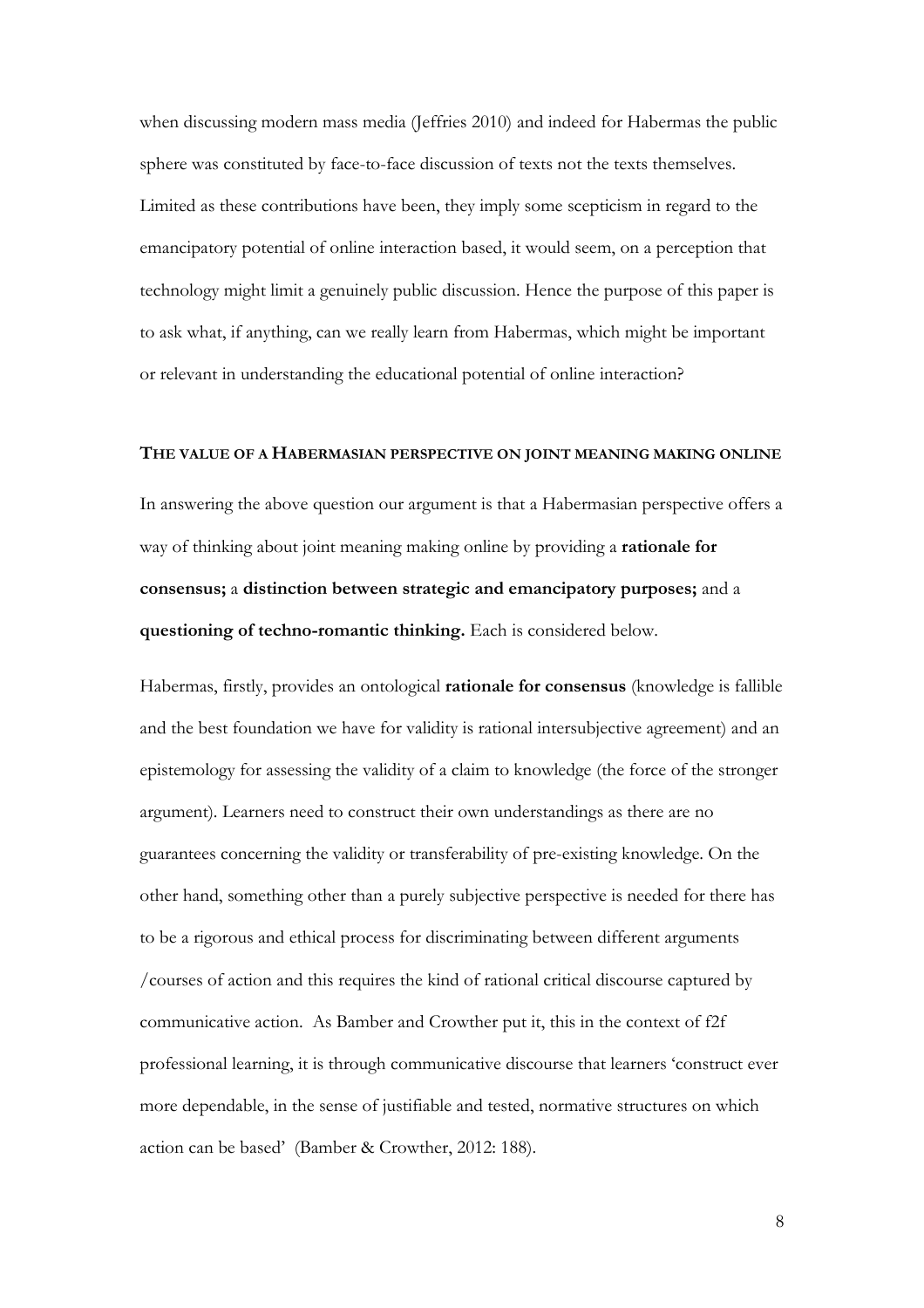when discussing modern mass media (Jeffries 2010) and indeed for Habermas the public sphere was constituted by face-to-face discussion of texts not the texts themselves. Limited as these contributions have been, they imply some scepticism in regard to the emancipatory potential of online interaction based, it would seem, on a perception that technology might limit a genuinely public discussion. Hence the purpose of this paper is to ask what, if anything, can we really learn from Habermas, which might be important or relevant in understanding the educational potential of online interaction?

#### **THE VALUE OF A HABERMASIAN PERSPECTIVE ON JOINT MEANING MAKING ONLINE**

In answering the above question our argument is that a Habermasian perspective offers a way of thinking about joint meaning making online by providing a **rationale for consensus;** a **distinction between strategic and emancipatory purposes;** and a **questioning of techno-romantic thinking.** Each is considered below.

Habermas, firstly, provides an ontological **rationale for consensus** (knowledge is fallible and the best foundation we have for validity is rational intersubjective agreement) and an epistemology for assessing the validity of a claim to knowledge (the force of the stronger argument). Learners need to construct their own understandings as there are no guarantees concerning the validity or transferability of pre-existing knowledge. On the other hand, something other than a purely subjective perspective is needed for there has to be a rigorous and ethical process for discriminating between different arguments /courses of action and this requires the kind of rational critical discourse captured by communicative action. As Bamber and Crowther put it, this in the context of f2f professional learning, it is through communicative discourse that learners 'construct ever more dependable, in the sense of justifiable and tested, normative structures on which action can be based' (Bamber & Crowther, 2012: 188).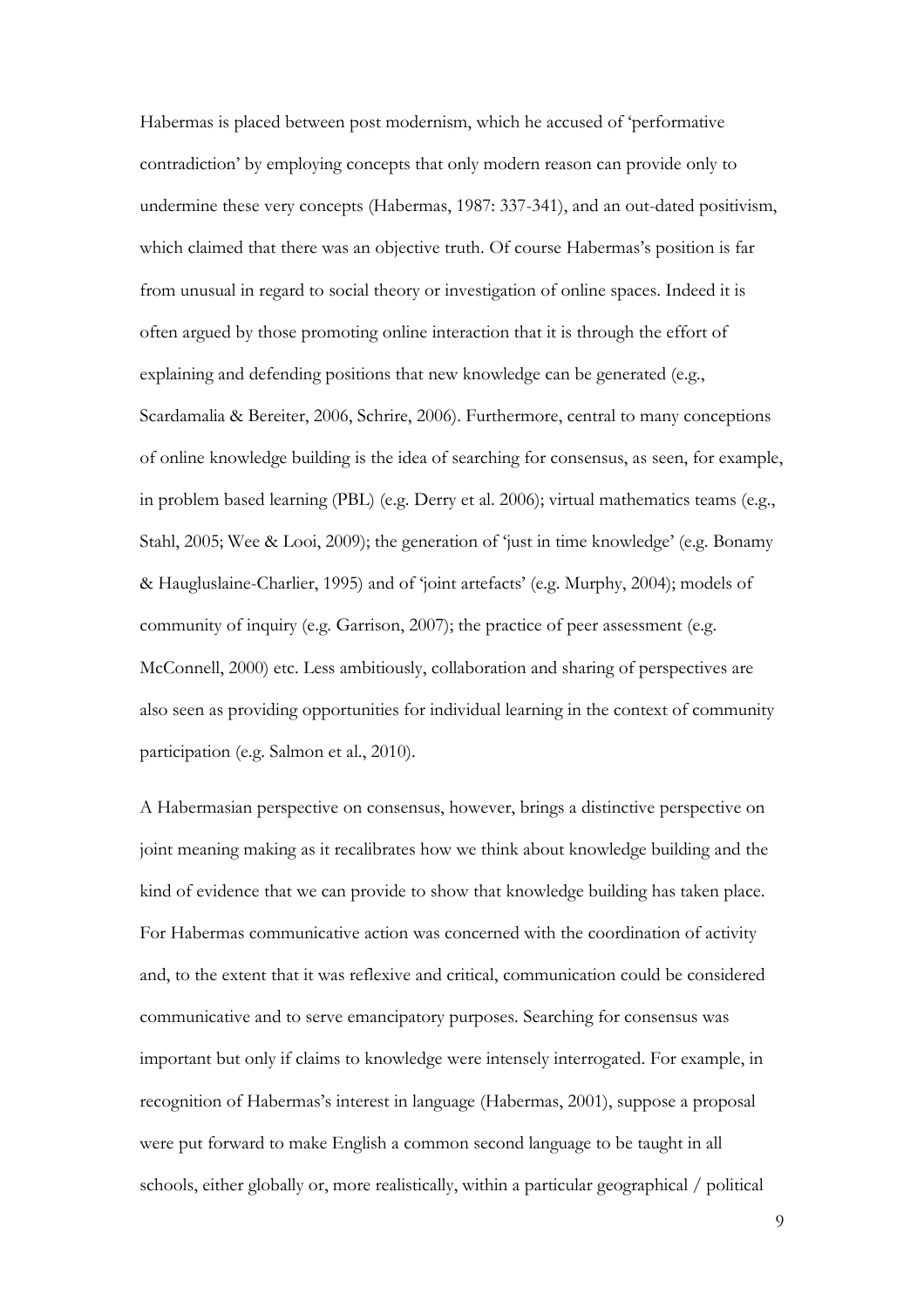Habermas is placed between post modernism, which he accused of 'performative contradiction' by employing concepts that only modern reason can provide only to undermine these very concepts (Habermas, 1987: 337-341), and an out-dated positivism, which claimed that there was an objective truth. Of course Habermas's position is far from unusual in regard to social theory or investigation of online spaces. Indeed it is often argued by those promoting online interaction that it is through the effort of explaining and defending positions that new knowledge can be generated (e.g., Scardamalia & Bereiter, 2006, Schrire, 2006). Furthermore, central to many conceptions of online knowledge building is the idea of searching for consensus, as seen, for example, in problem based learning (PBL) (e.g. Derry et al. 2006); virtual mathematics teams (e.g., Stahl, 2005; Wee & Looi, 2009); the generation of 'just in time knowledge' (e.g. Bonamy & Haugluslaine-Charlier, 1995) and of 'joint artefacts' (e.g. Murphy, 2004); models of community of inquiry (e.g. Garrison, 2007); the practice of peer assessment (e.g. McConnell, 2000) etc. Less ambitiously, collaboration and sharing of perspectives are also seen as providing opportunities for individual learning in the context of community participation (e.g. Salmon et al., 2010).

A Habermasian perspective on consensus, however, brings a distinctive perspective on joint meaning making as it recalibrates how we think about knowledge building and the kind of evidence that we can provide to show that knowledge building has taken place. For Habermas communicative action was concerned with the coordination of activity and, to the extent that it was reflexive and critical, communication could be considered communicative and to serve emancipatory purposes. Searching for consensus was important but only if claims to knowledge were intensely interrogated. For example, in recognition of Habermas's interest in language (Habermas, 2001), suppose a proposal were put forward to make English a common second language to be taught in all schools, either globally or, more realistically, within a particular geographical / political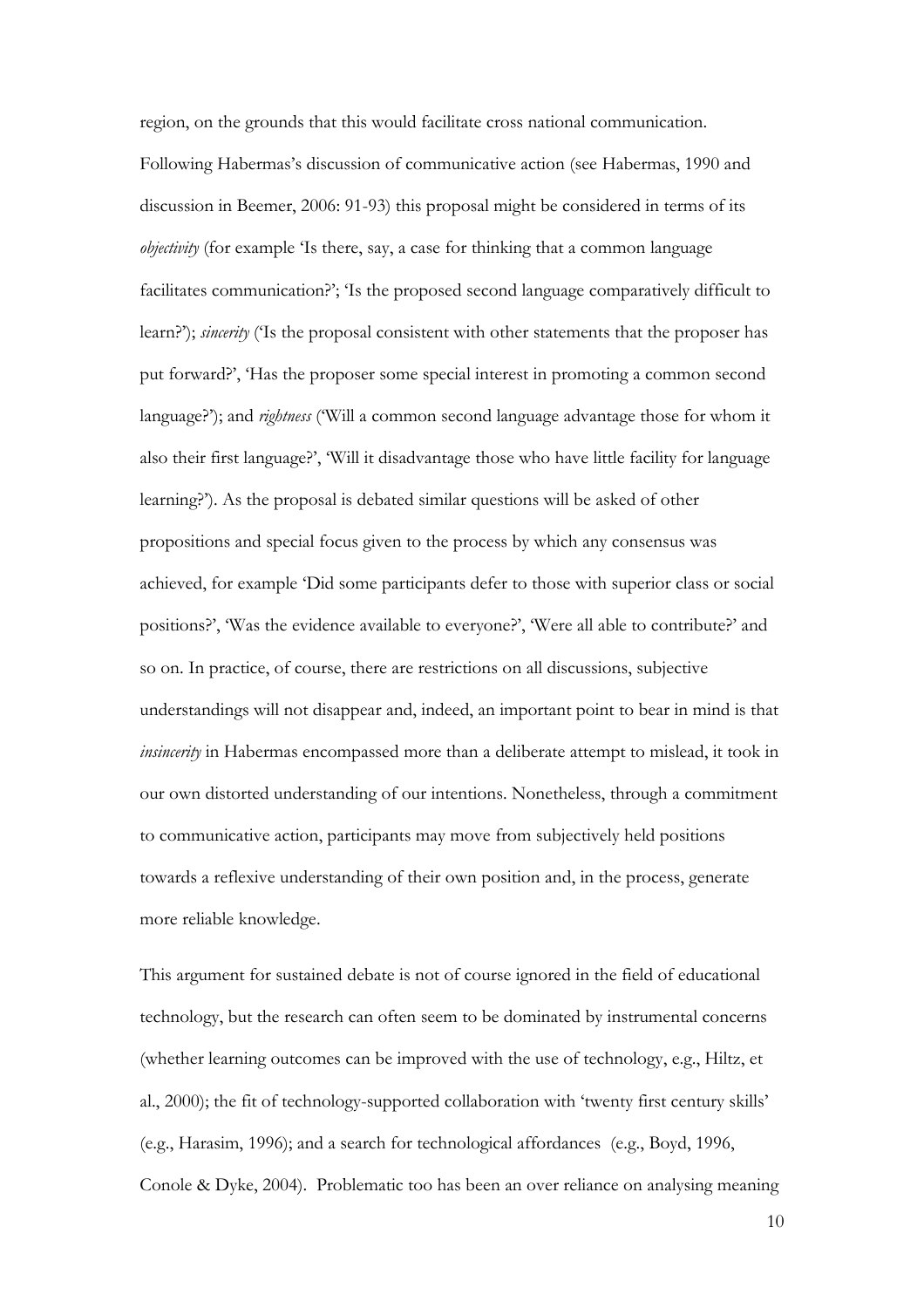region, on the grounds that this would facilitate cross national communication. Following Habermas's discussion of communicative action (see Habermas, 1990 and discussion in Beemer, 2006: 91-93) this proposal might be considered in terms of its *objectivity* (for example 'Is there, say, a case for thinking that a common language facilitates communication?'; 'Is the proposed second language comparatively difficult to learn?'); *sincerity* ('Is the proposal consistent with other statements that the proposer has put forward?', 'Has the proposer some special interest in promoting a common second language?'); and *rightness* ('Will a common second language advantage those for whom it also their first language?', 'Will it disadvantage those who have little facility for language learning?'). As the proposal is debated similar questions will be asked of other propositions and special focus given to the process by which any consensus was achieved, for example 'Did some participants defer to those with superior class or social positions?', 'Was the evidence available to everyone?', 'Were all able to contribute?' and so on. In practice, of course, there are restrictions on all discussions, subjective understandings will not disappear and, indeed, an important point to bear in mind is that *insincerity* in Habermas encompassed more than a deliberate attempt to mislead, it took in our own distorted understanding of our intentions. Nonetheless, through a commitment to communicative action, participants may move from subjectively held positions towards a reflexive understanding of their own position and, in the process, generate more reliable knowledge.

This argument for sustained debate is not of course ignored in the field of educational technology, but the research can often seem to be dominated by instrumental concerns (whether learning outcomes can be improved with the use of technology, e.g., Hiltz, et al., 2000); the fit of technology-supported collaboration with 'twenty first century skills' (e.g., Harasim, 1996); and a search for technological affordances (e.g., Boyd, 1996, Conole & Dyke, 2004). Problematic too has been an over reliance on analysing meaning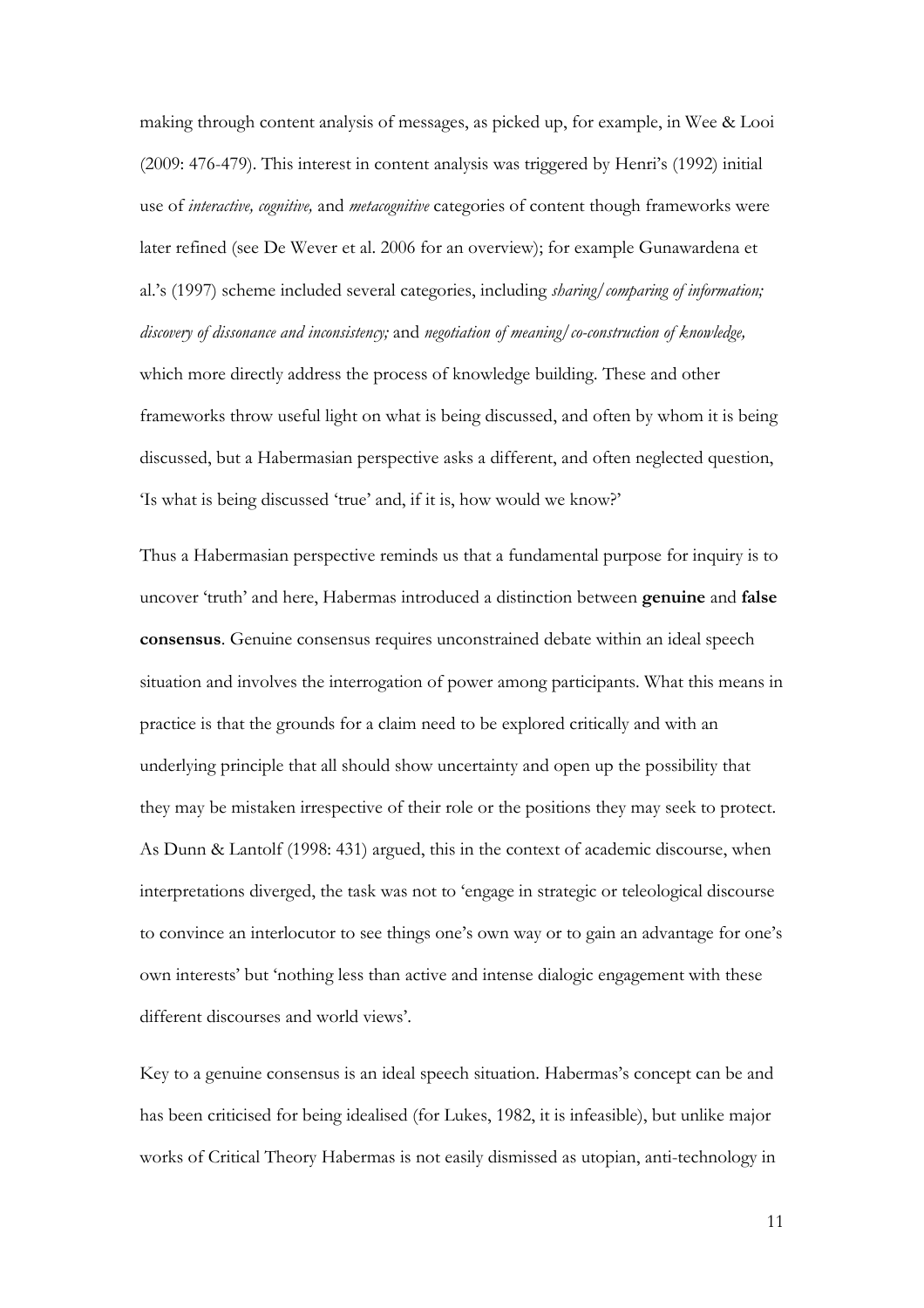making through content analysis of messages, as picked up, for example, in Wee & Looi (2009: 476-479). This interest in content analysis was triggered by Henri's (1992) initial use of *interactive, cognitive,* and *metacognitive* categories of content though frameworks were later refined (see De Wever et al. 2006 for an overview); for example Gunawardena et al.'s (1997) scheme included several categories, including *sharing/comparing of information; discovery of dissonance and inconsistency;* and *negotiation of meaning/co-construction of knowledge,*  which more directly address the process of knowledge building*.* These and other frameworks throw useful light on what is being discussed, and often by whom it is being discussed, but a Habermasian perspective asks a different, and often neglected question, 'Is what is being discussed 'true' and, if it is, how would we know?'

Thus a Habermasian perspective reminds us that a fundamental purpose for inquiry is to uncover 'truth' and here, Habermas introduced a distinction between **genuine** and **false consensus**. Genuine consensus requires unconstrained debate within an ideal speech situation and involves the interrogation of power among participants. What this means in practice is that the grounds for a claim need to be explored critically and with an underlying principle that all should show uncertainty and open up the possibility that they may be mistaken irrespective of their role or the positions they may seek to protect. As Dunn & Lantolf (1998: 431) argued, this in the context of academic discourse, when interpretations diverged, the task was not to 'engage in strategic or teleological discourse to convince an interlocutor to see things one's own way or to gain an advantage for one's own interests' but 'nothing less than active and intense dialogic engagement with these different discourses and world views'.

Key to a genuine consensus is an ideal speech situation. Habermas's concept can be and has been criticised for being idealised (for Lukes, 1982, it is infeasible), but unlike major works of Critical Theory Habermas is not easily dismissed as utopian, anti-technology in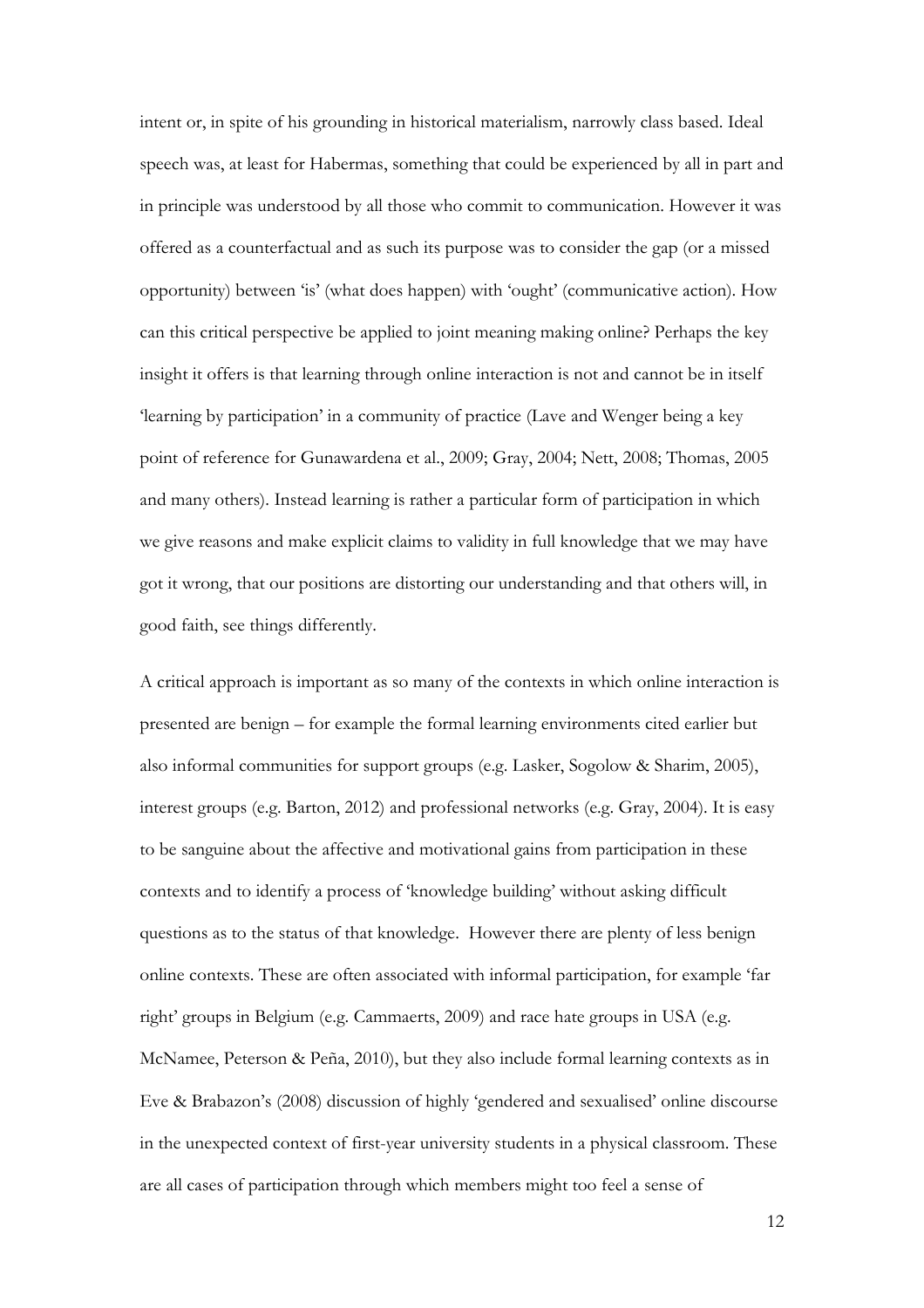intent or, in spite of his grounding in historical materialism, narrowly class based. Ideal speech was, at least for Habermas, something that could be experienced by all in part and in principle was understood by all those who commit to communication. However it was offered as a counterfactual and as such its purpose was to consider the gap (or a missed opportunity) between 'is' (what does happen) with 'ought' (communicative action). How can this critical perspective be applied to joint meaning making online? Perhaps the key insight it offers is that learning through online interaction is not and cannot be in itself 'learning by participation' in a community of practice (Lave and Wenger being a key point of reference for Gunawardena et al., 2009; Gray, 2004; Nett, 2008; Thomas, 2005 and many others). Instead learning is rather a particular form of participation in which we give reasons and make explicit claims to validity in full knowledge that we may have got it wrong, that our positions are distorting our understanding and that others will, in good faith, see things differently.

A critical approach is important as so many of the contexts in which online interaction is presented are benign – for example the formal learning environments cited earlier but also informal communities for support groups (e.g. Lasker, Sogolow & Sharim, 2005), interest groups (e.g. Barton, 2012) and professional networks (e.g. Gray, 2004). It is easy to be sanguine about the affective and motivational gains from participation in these contexts and to identify a process of 'knowledge building' without asking difficult questions as to the status of that knowledge. However there are plenty of less benign online contexts. These are often associated with informal participation, for example 'far right' groups in Belgium (e.g. Cammaerts, 2009) and race hate groups in USA (e.g. McNamee, Peterson & Peña, 2010), but they also include formal learning contexts as in Eve & Brabazon's (2008) discussion of highly 'gendered and sexualised' online discourse in the unexpected context of first-year university students in a physical classroom. These are all cases of participation through which members might too feel a sense of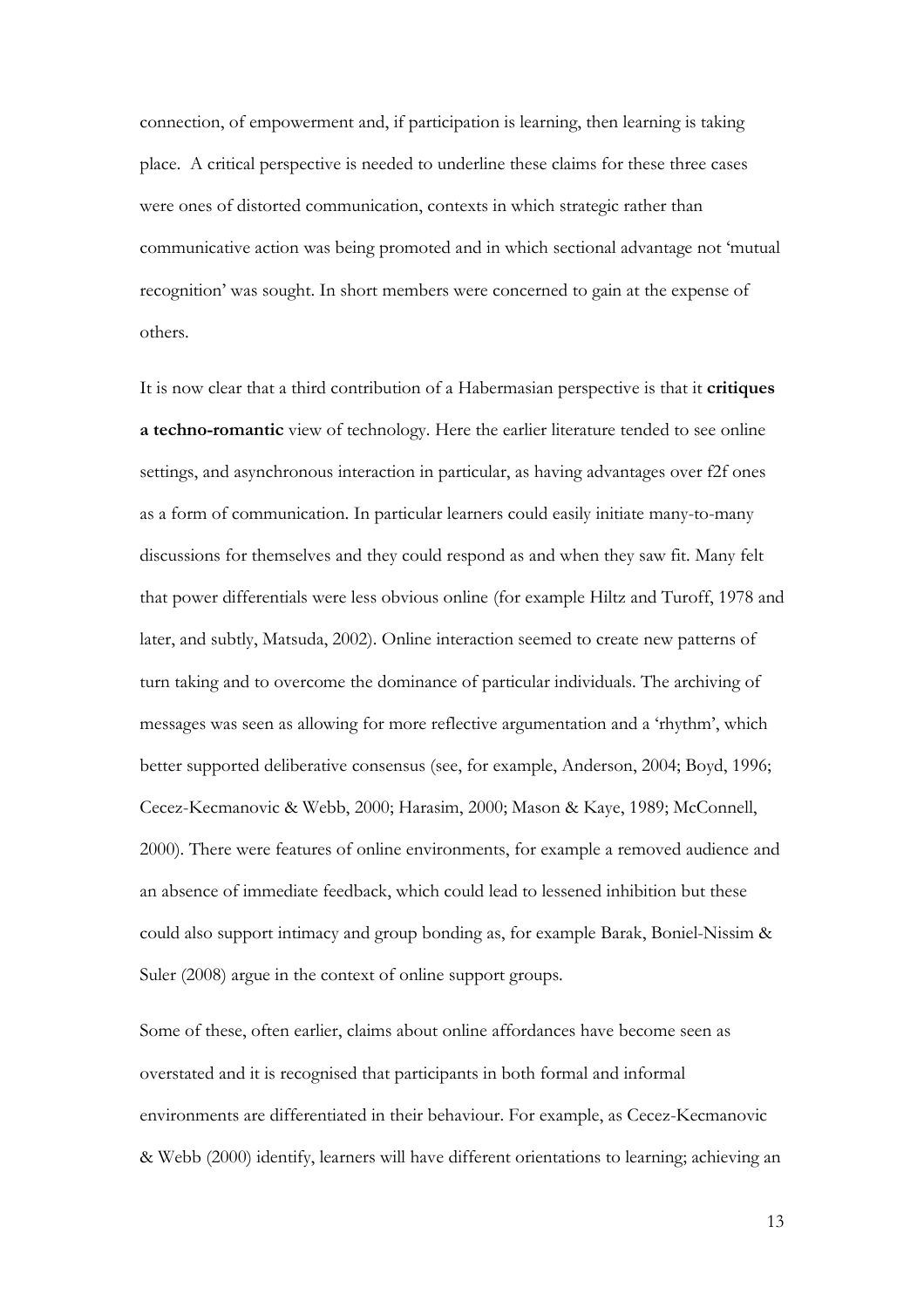connection, of empowerment and, if participation is learning, then learning is taking place. A critical perspective is needed to underline these claims for these three cases were ones of distorted communication, contexts in which strategic rather than communicative action was being promoted and in which sectional advantage not 'mutual recognition' was sought. In short members were concerned to gain at the expense of others.

It is now clear that a third contribution of a Habermasian perspective is that it **critiques a techno-romantic** view of technology. Here the earlier literature tended to see online settings, and asynchronous interaction in particular, as having advantages over f2f ones as a form of communication. In particular learners could easily initiate many-to-many discussions for themselves and they could respond as and when they saw fit. Many felt that power differentials were less obvious online (for example Hiltz and Turoff, 1978 and later, and subtly, Matsuda, 2002). Online interaction seemed to create new patterns of turn taking and to overcome the dominance of particular individuals. The archiving of messages was seen as allowing for more reflective argumentation and a 'rhythm', which better supported deliberative consensus (see, for example, Anderson, 2004; Boyd, 1996; Cecez-Kecmanovic & Webb, 2000; Harasim, 2000; Mason & Kaye, 1989; McConnell, 2000). There were features of online environments, for example a removed audience and an absence of immediate feedback, which could lead to lessened inhibition but these could also support intimacy and group bonding as, for example Barak, Boniel-Nissim & Suler (2008) argue in the context of online support groups.

Some of these, often earlier, claims about online affordances have become seen as overstated and it is recognised that participants in both formal and informal environments are differentiated in their behaviour. For example, as Cecez-Kecmanovic & Webb (2000) identify, learners will have different orientations to learning; achieving an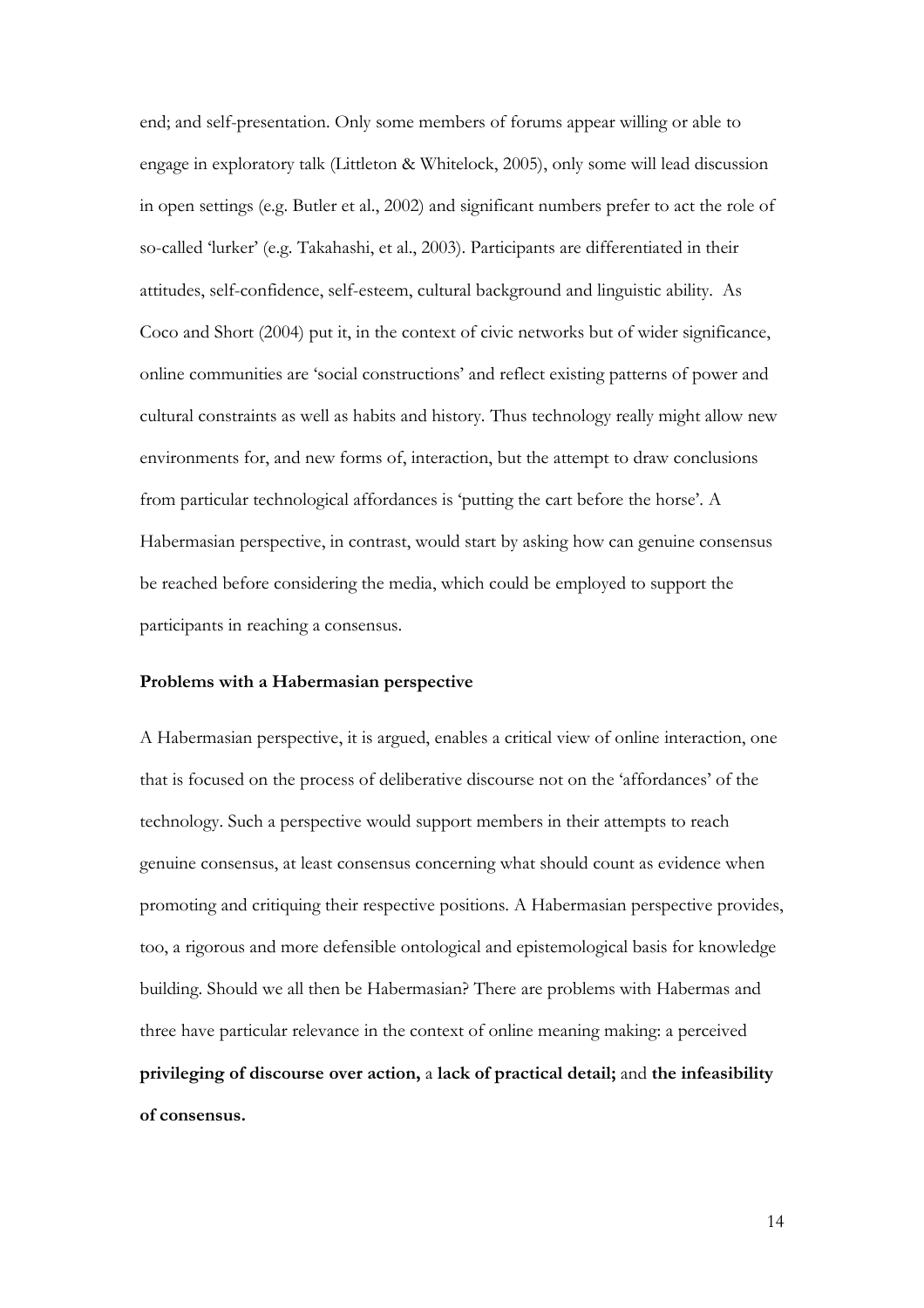end; and self-presentation. Only some members of forums appear willing or able to engage in exploratory talk (Littleton & Whitelock, 2005), only some will lead discussion in open settings (e.g. Butler et al., 2002) and significant numbers prefer to act the role of so-called 'lurker' (e.g. Takahashi, et al., 2003). Participants are differentiated in their attitudes, self-confidence, self-esteem, cultural background and linguistic ability. As Coco and Short (2004) put it, in the context of civic networks but of wider significance, online communities are 'social constructions' and reflect existing patterns of power and cultural constraints as well as habits and history. Thus technology really might allow new environments for, and new forms of, interaction, but the attempt to draw conclusions from particular technological affordances is 'putting the cart before the horse'. A Habermasian perspective, in contrast, would start by asking how can genuine consensus be reached before considering the media, which could be employed to support the participants in reaching a consensus.

# **Problems with a Habermasian perspective**

A Habermasian perspective, it is argued, enables a critical view of online interaction, one that is focused on the process of deliberative discourse not on the 'affordances' of the technology. Such a perspective would support members in their attempts to reach genuine consensus, at least consensus concerning what should count as evidence when promoting and critiquing their respective positions. A Habermasian perspective provides, too, a rigorous and more defensible ontological and epistemological basis for knowledge building. Should we all then be Habermasian? There are problems with Habermas and three have particular relevance in the context of online meaning making: a perceived **privileging of discourse over action,** a **lack of practical detail;** and **the infeasibility of consensus.**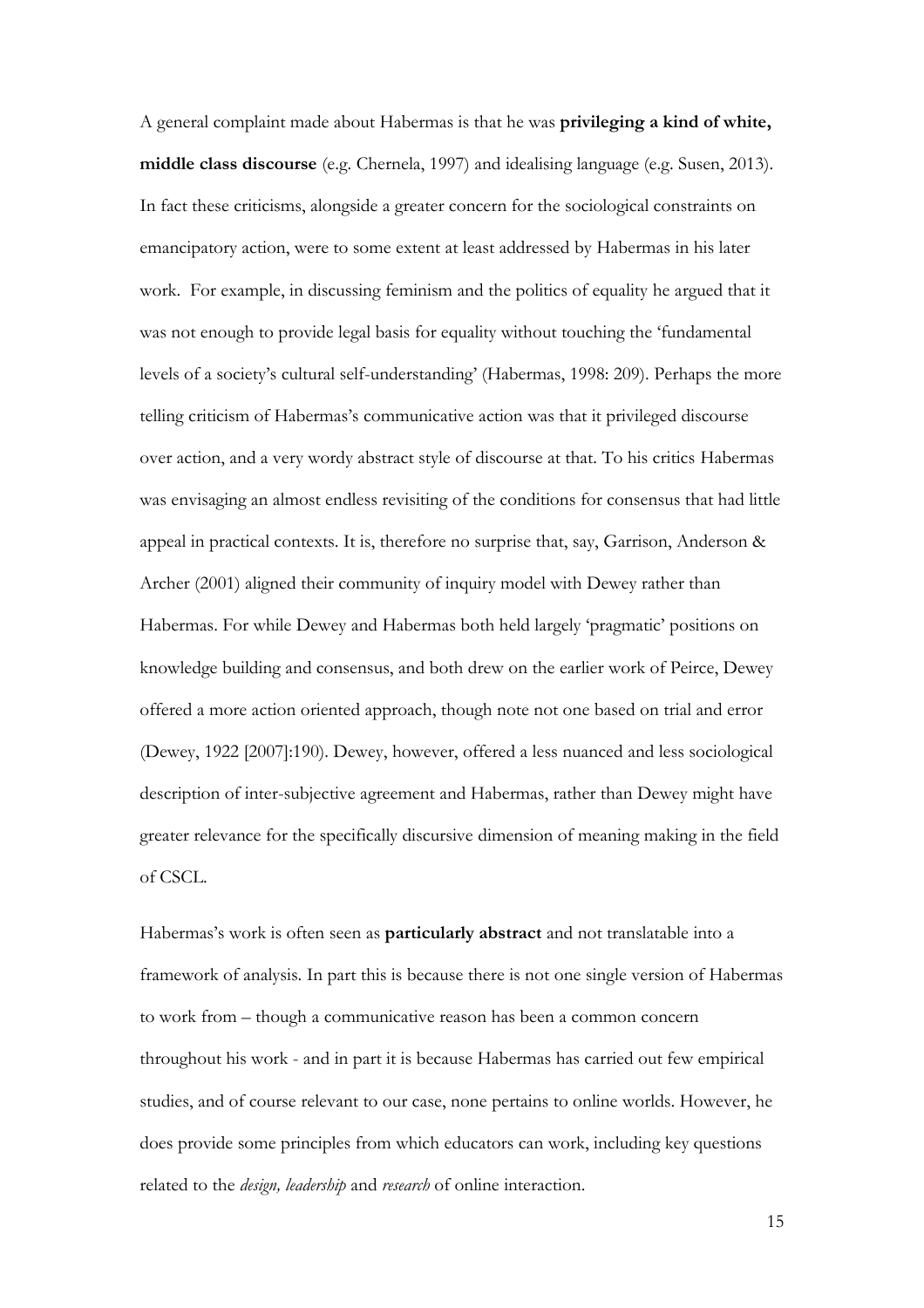A general complaint made about Habermas is that he was **privileging a kind of white, middle class discourse** (e.g. Chernela, 1997) and idealising language (e.g. Susen, 2013). In fact these criticisms, alongside a greater concern for the sociological constraints on emancipatory action, were to some extent at least addressed by Habermas in his later work. For example, in discussing feminism and the politics of equality he argued that it was not enough to provide legal basis for equality without touching the 'fundamental levels of a society's cultural self-understanding' (Habermas, 1998: 209). Perhaps the more telling criticism of Habermas's communicative action was that it privileged discourse over action, and a very wordy abstract style of discourse at that. To his critics Habermas was envisaging an almost endless revisiting of the conditions for consensus that had little appeal in practical contexts. It is, therefore no surprise that, say, Garrison, Anderson & Archer (2001) aligned their community of inquiry model with Dewey rather than Habermas. For while Dewey and Habermas both held largely 'pragmatic' positions on knowledge building and consensus, and both drew on the earlier work of Peirce, Dewey offered a more action oriented approach, though note not one based on trial and error (Dewey, 1922 [2007]:190). Dewey, however, offered a less nuanced and less sociological description of inter-subjective agreement and Habermas, rather than Dewey might have greater relevance for the specifically discursive dimension of meaning making in the field of CSCL.

Habermas's work is often seen as **particularly abstract** and not translatable into a framework of analysis. In part this is because there is not one single version of Habermas to work from – though a communicative reason has been a common concern throughout his work - and in part it is because Habermas has carried out few empirical studies, and of course relevant to our case, none pertains to online worlds. However, he does provide some principles from which educators can work, including key questions related to the *design, leadership* and *research* of online interaction.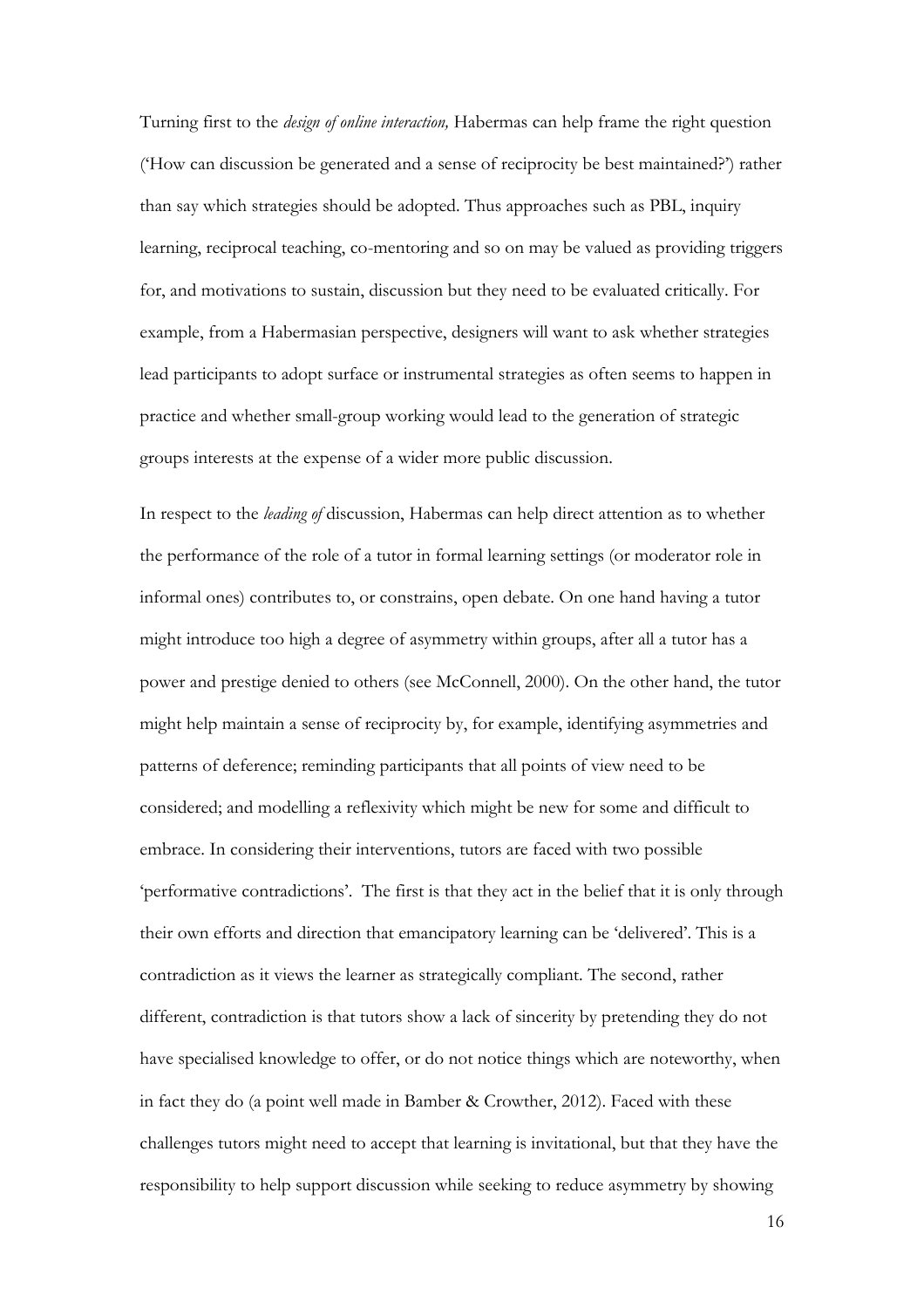Turning first to the *design of online interaction,* Habermas can help frame the right question ('How can discussion be generated and a sense of reciprocity be best maintained?') rather than say which strategies should be adopted. Thus approaches such as PBL, inquiry learning, reciprocal teaching, co-mentoring and so on may be valued as providing triggers for, and motivations to sustain, discussion but they need to be evaluated critically. For example, from a Habermasian perspective, designers will want to ask whether strategies lead participants to adopt surface or instrumental strategies as often seems to happen in practice and whether small-group working would lead to the generation of strategic groups interests at the expense of a wider more public discussion.

In respect to the *leading of* discussion, Habermas can help direct attention as to whether the performance of the role of a tutor in formal learning settings (or moderator role in informal ones) contributes to, or constrains, open debate. On one hand having a tutor might introduce too high a degree of asymmetry within groups, after all a tutor has a power and prestige denied to others (see McConnell, 2000). On the other hand, the tutor might help maintain a sense of reciprocity by, for example, identifying asymmetries and patterns of deference; reminding participants that all points of view need to be considered; and modelling a reflexivity which might be new for some and difficult to embrace. In considering their interventions, tutors are faced with two possible 'performative contradictions'. The first is that they act in the belief that it is only through their own efforts and direction that emancipatory learning can be 'delivered'. This is a contradiction as it views the learner as strategically compliant. The second, rather different, contradiction is that tutors show a lack of sincerity by pretending they do not have specialised knowledge to offer, or do not notice things which are noteworthy, when in fact they do (a point well made in Bamber & Crowther, 2012). Faced with these challenges tutors might need to accept that learning is invitational, but that they have the responsibility to help support discussion while seeking to reduce asymmetry by showing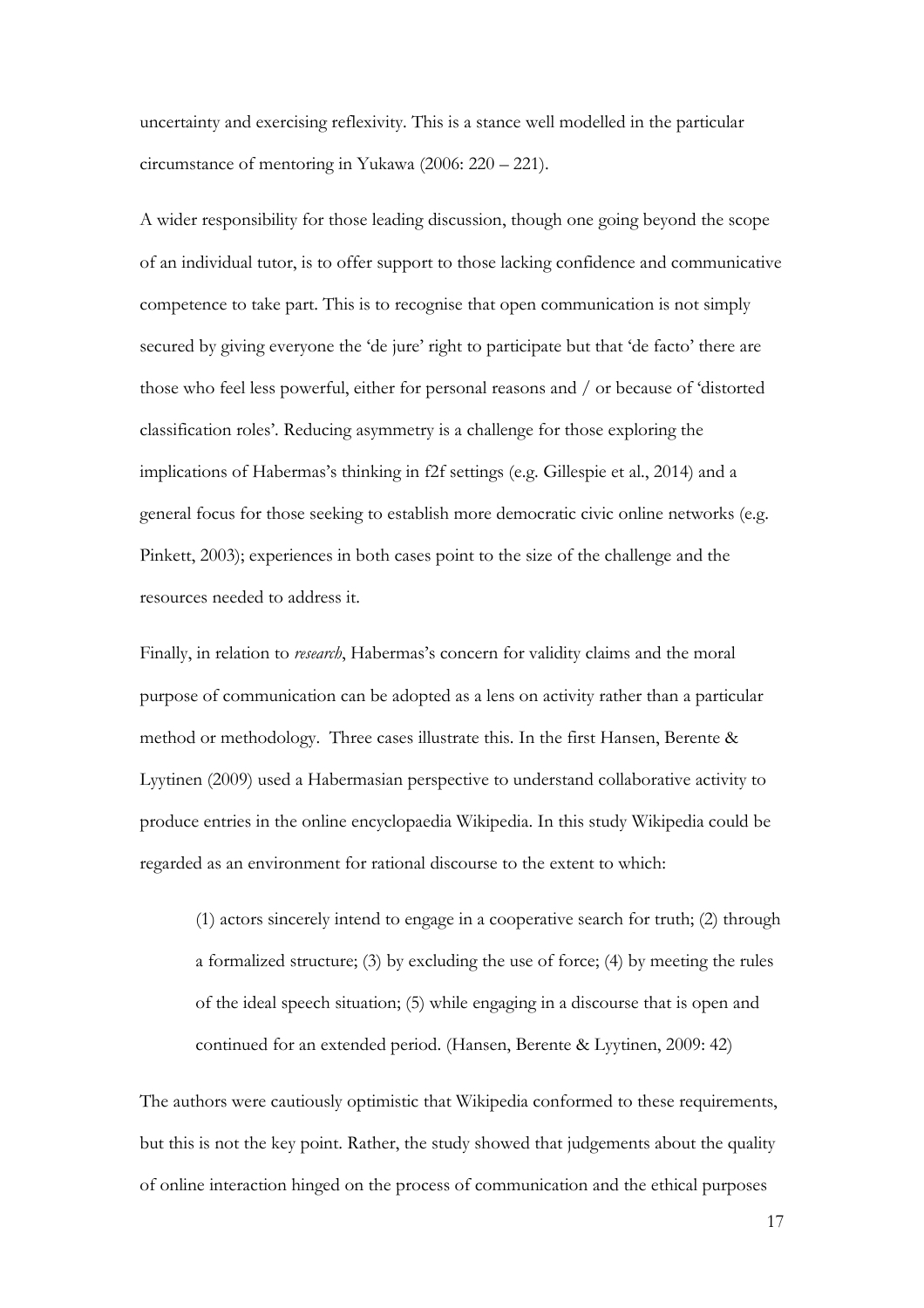uncertainty and exercising reflexivity. This is a stance well modelled in the particular circumstance of mentoring in Yukawa (2006: 220 – 221).

A wider responsibility for those leading discussion, though one going beyond the scope of an individual tutor, is to offer support to those lacking confidence and communicative competence to take part. This is to recognise that open communication is not simply secured by giving everyone the 'de jure' right to participate but that 'de facto' there are those who feel less powerful, either for personal reasons and / or because of 'distorted classification roles'. Reducing asymmetry is a challenge for those exploring the implications of Habermas's thinking in f2f settings (e.g. Gillespie et al., 2014) and a general focus for those seeking to establish more democratic civic online networks (e.g. Pinkett, 2003); experiences in both cases point to the size of the challenge and the resources needed to address it.

Finally, in relation to *research*, Habermas's concern for validity claims and the moral purpose of communication can be adopted as a lens on activity rather than a particular method or methodology. Three cases illustrate this. In the first Hansen, Berente & Lyytinen (2009) used a Habermasian perspective to understand collaborative activity to produce entries in the online encyclopaedia Wikipedia. In this study Wikipedia could be regarded as an environment for rational discourse to the extent to which:

(1) actors sincerely intend to engage in a cooperative search for truth; (2) through a formalized structure; (3) by excluding the use of force; (4) by meeting the rules of the ideal speech situation; (5) while engaging in a discourse that is open and continued for an extended period. (Hansen, Berente & Lyytinen, 2009: 42)

The authors were cautiously optimistic that Wikipedia conformed to these requirements, but this is not the key point. Rather, the study showed that judgements about the quality of online interaction hinged on the process of communication and the ethical purposes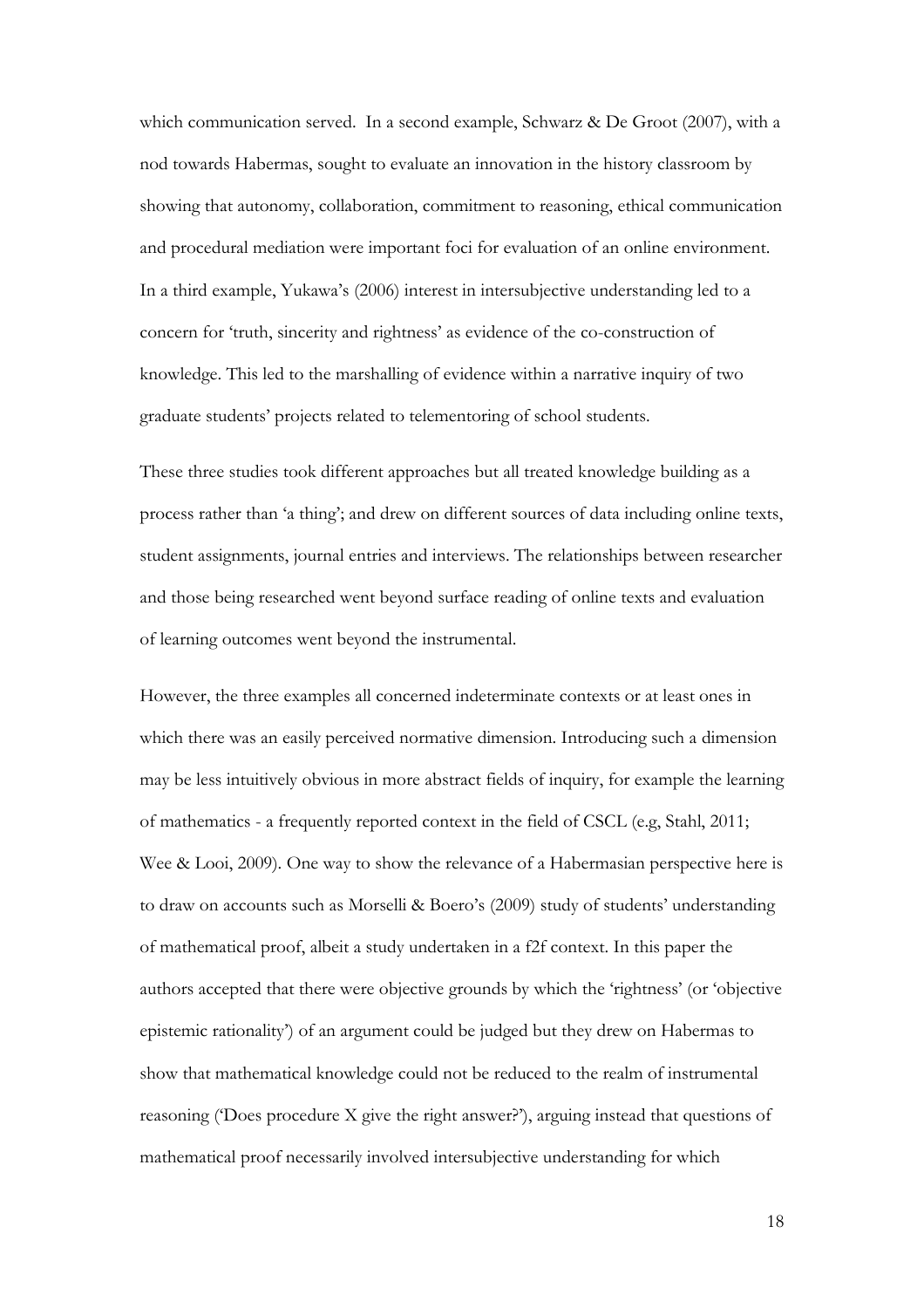which communication served. In a second example, Schwarz & De Groot (2007), with a nod towards Habermas, sought to evaluate an innovation in the history classroom by showing that autonomy, collaboration, commitment to reasoning, ethical communication and procedural mediation were important foci for evaluation of an online environment. In a third example, Yukawa's (2006) interest in intersubjective understanding led to a concern for 'truth, sincerity and rightness' as evidence of the co-construction of knowledge. This led to the marshalling of evidence within a narrative inquiry of two graduate students' projects related to telementoring of school students.

These three studies took different approaches but all treated knowledge building as a process rather than 'a thing'; and drew on different sources of data including online texts, student assignments, journal entries and interviews. The relationships between researcher and those being researched went beyond surface reading of online texts and evaluation of learning outcomes went beyond the instrumental.

However, the three examples all concerned indeterminate contexts or at least ones in which there was an easily perceived normative dimension. Introducing such a dimension may be less intuitively obvious in more abstract fields of inquiry, for example the learning of mathematics - a frequently reported context in the field of CSCL (e.g, Stahl, 2011; Wee & Looi, 2009). One way to show the relevance of a Habermasian perspective here is to draw on accounts such as Morselli & Boero's (2009) study of students' understanding of mathematical proof, albeit a study undertaken in a f2f context. In this paper the authors accepted that there were objective grounds by which the 'rightness' (or 'objective epistemic rationality') of an argument could be judged but they drew on Habermas to show that mathematical knowledge could not be reduced to the realm of instrumental reasoning ('Does procedure X give the right answer?'), arguing instead that questions of mathematical proof necessarily involved intersubjective understanding for which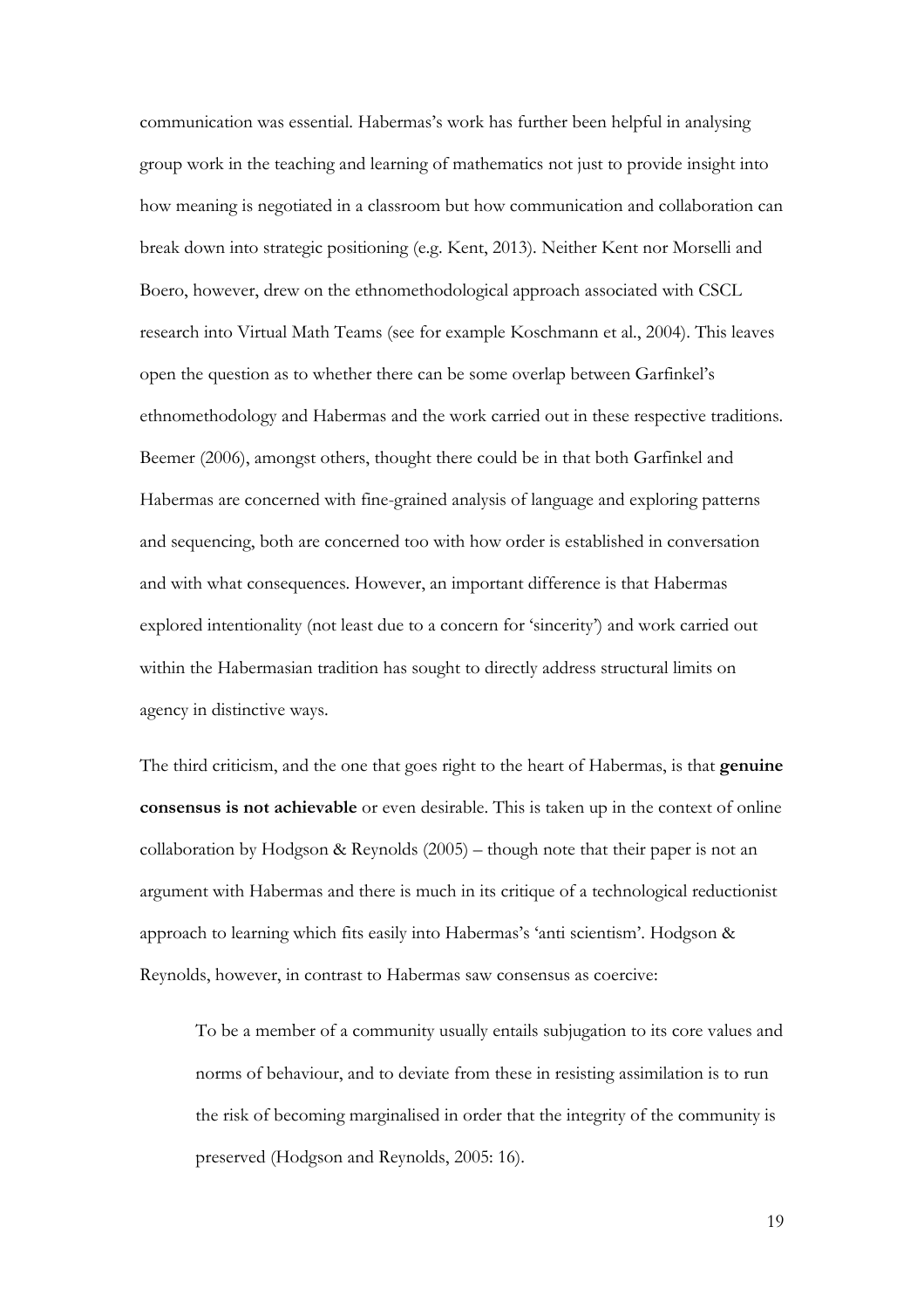communication was essential. Habermas's work has further been helpful in analysing group work in the teaching and learning of mathematics not just to provide insight into how meaning is negotiated in a classroom but how communication and collaboration can break down into strategic positioning (e.g. Kent, 2013). Neither Kent nor Morselli and Boero, however, drew on the ethnomethodological approach associated with CSCL research into Virtual Math Teams (see for example Koschmann et al., 2004). This leaves open the question as to whether there can be some overlap between Garfinkel's ethnomethodology and Habermas and the work carried out in these respective traditions. Beemer (2006), amongst others, thought there could be in that both Garfinkel and Habermas are concerned with fine-grained analysis of language and exploring patterns and sequencing, both are concerned too with how order is established in conversation and with what consequences. However, an important difference is that Habermas explored intentionality (not least due to a concern for 'sincerity') and work carried out within the Habermasian tradition has sought to directly address structural limits on agency in distinctive ways.

The third criticism, and the one that goes right to the heart of Habermas, is that **genuine consensus is not achievable** or even desirable. This is taken up in the context of online collaboration by Hodgson & Reynolds (2005) – though note that their paper is not an argument with Habermas and there is much in its critique of a technological reductionist approach to learning which fits easily into Habermas's 'anti scientism'. Hodgson & Reynolds, however, in contrast to Habermas saw consensus as coercive:

To be a member of a community usually entails subjugation to its core values and norms of behaviour, and to deviate from these in resisting assimilation is to run the risk of becoming marginalised in order that the integrity of the community is preserved (Hodgson and Reynolds, 2005: 16).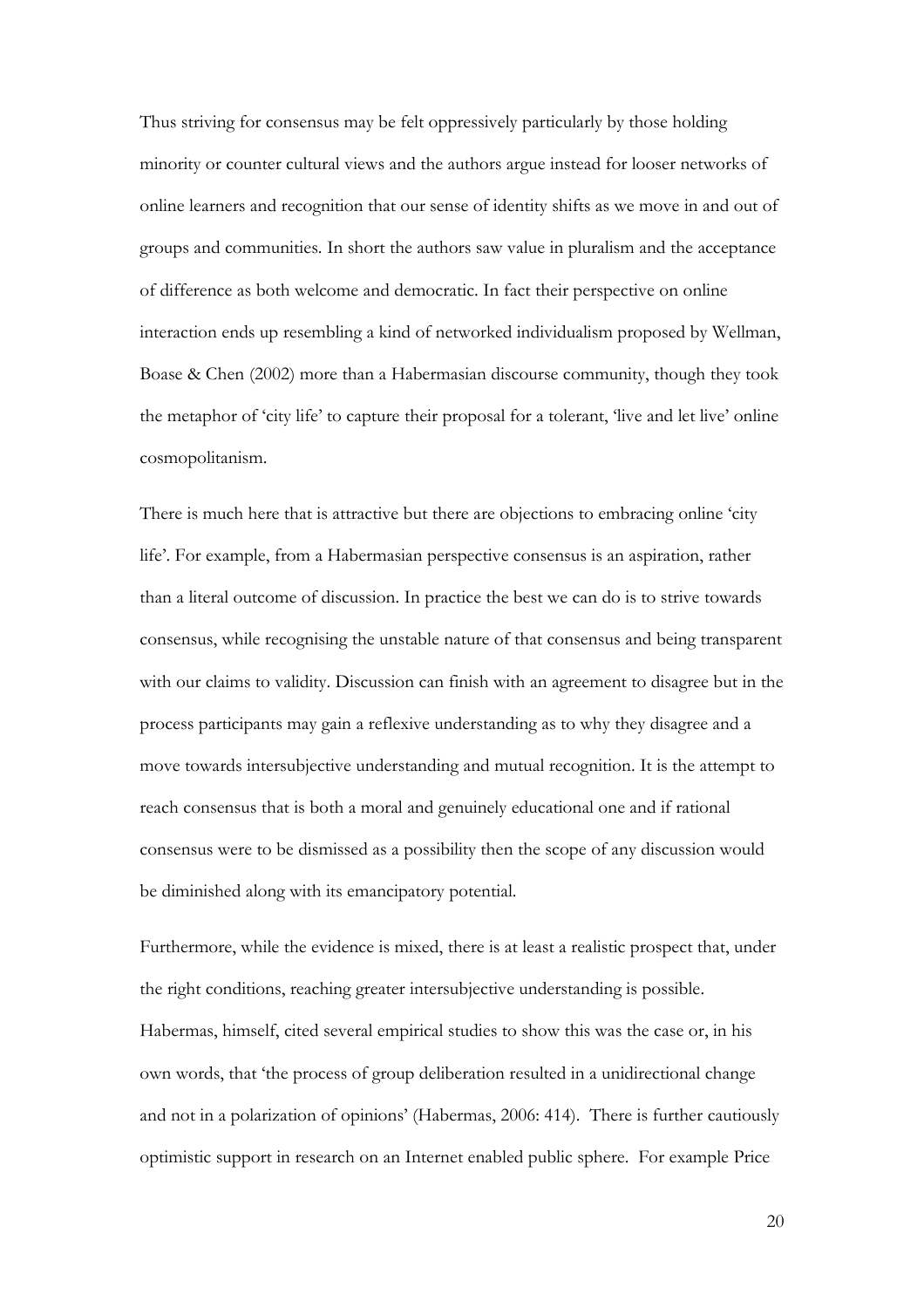Thus striving for consensus may be felt oppressively particularly by those holding minority or counter cultural views and the authors argue instead for looser networks of online learners and recognition that our sense of identity shifts as we move in and out of groups and communities. In short the authors saw value in pluralism and the acceptance of difference as both welcome and democratic. In fact their perspective on online interaction ends up resembling a kind of networked individualism proposed by Wellman, Boase & Chen (2002) more than a Habermasian discourse community, though they took the metaphor of 'city life' to capture their proposal for a tolerant, 'live and let live' online cosmopolitanism.

There is much here that is attractive but there are objections to embracing online 'city life'. For example, from a Habermasian perspective consensus is an aspiration, rather than a literal outcome of discussion. In practice the best we can do is to strive towards consensus, while recognising the unstable nature of that consensus and being transparent with our claims to validity. Discussion can finish with an agreement to disagree but in the process participants may gain a reflexive understanding as to why they disagree and a move towards intersubjective understanding and mutual recognition. It is the attempt to reach consensus that is both a moral and genuinely educational one and if rational consensus were to be dismissed as a possibility then the scope of any discussion would be diminished along with its emancipatory potential.

Furthermore, while the evidence is mixed, there is at least a realistic prospect that, under the right conditions, reaching greater intersubjective understanding is possible. Habermas, himself, cited several empirical studies to show this was the case or, in his own words, that 'the process of group deliberation resulted in a unidirectional change and not in a polarization of opinions' (Habermas, 2006: 414). There is further cautiously optimistic support in research on an Internet enabled public sphere. For example Price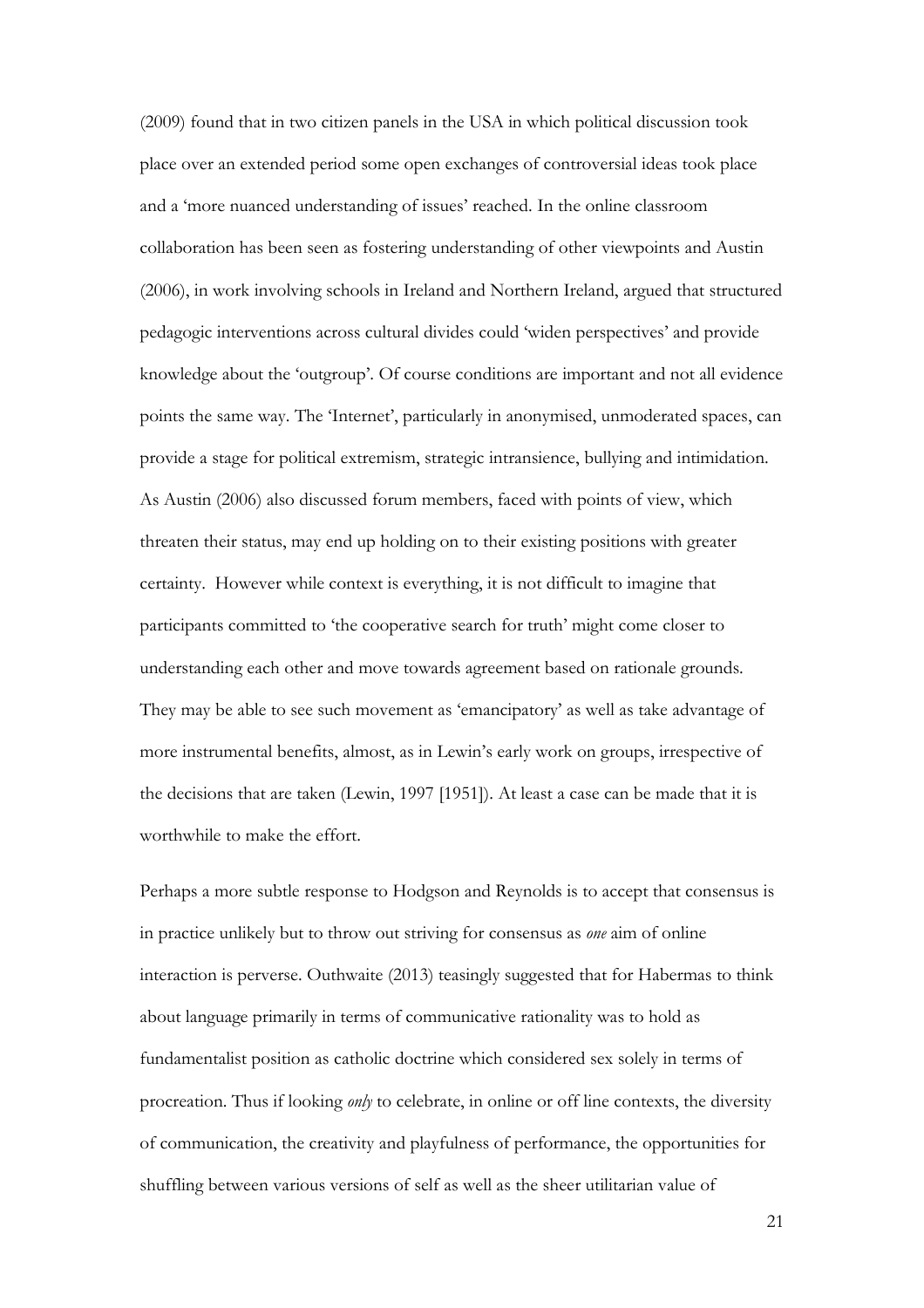(2009) found that in two citizen panels in the USA in which political discussion took place over an extended period some open exchanges of controversial ideas took place and a 'more nuanced understanding of issues' reached. In the online classroom collaboration has been seen as fostering understanding of other viewpoints and Austin (2006), in work involving schools in Ireland and Northern Ireland, argued that structured pedagogic interventions across cultural divides could 'widen perspectives' and provide knowledge about the 'outgroup'. Of course conditions are important and not all evidence points the same way. The 'Internet', particularly in anonymised, unmoderated spaces, can provide a stage for political extremism, strategic intransience, bullying and intimidation. As Austin (2006) also discussed forum members, faced with points of view, which threaten their status, may end up holding on to their existing positions with greater certainty. However while context is everything, it is not difficult to imagine that participants committed to 'the cooperative search for truth' might come closer to understanding each other and move towards agreement based on rationale grounds. They may be able to see such movement as 'emancipatory' as well as take advantage of more instrumental benefits, almost, as in Lewin's early work on groups, irrespective of the decisions that are taken (Lewin, 1997 [1951]). At least a case can be made that it is worthwhile to make the effort.

Perhaps a more subtle response to Hodgson and Reynolds is to accept that consensus is in practice unlikely but to throw out striving for consensus as *one* aim of online interaction is perverse. Outhwaite (2013) teasingly suggested that for Habermas to think about language primarily in terms of communicative rationality was to hold as fundamentalist position as catholic doctrine which considered sex solely in terms of procreation. Thus if looking *only* to celebrate, in online or off line contexts, the diversity of communication, the creativity and playfulness of performance, the opportunities for shuffling between various versions of self as well as the sheer utilitarian value of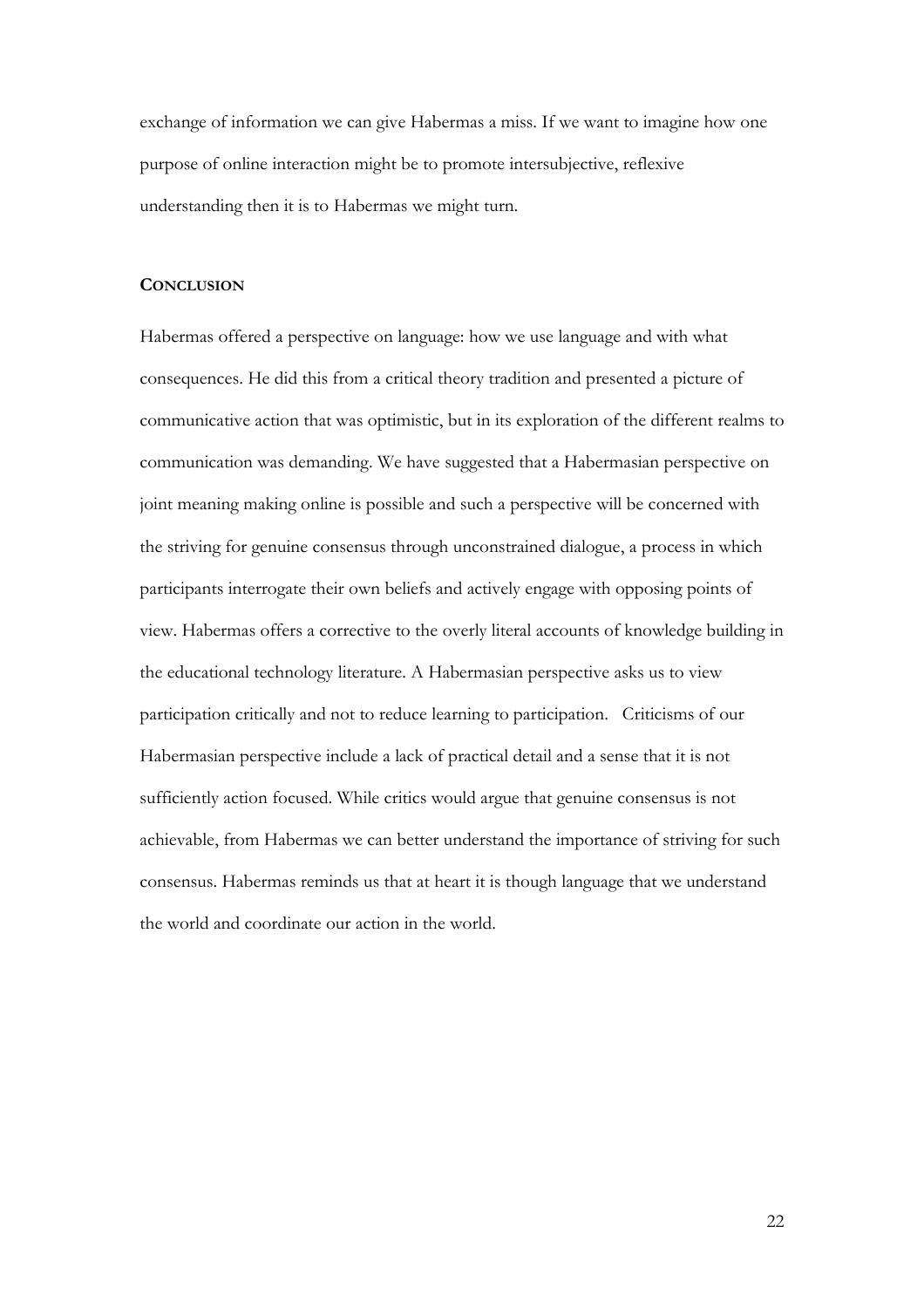exchange of information we can give Habermas a miss. If we want to imagine how one purpose of online interaction might be to promote intersubjective, reflexive understanding then it is to Habermas we might turn.

# **CONCLUSION**

Habermas offered a perspective on language: how we use language and with what consequences. He did this from a critical theory tradition and presented a picture of communicative action that was optimistic, but in its exploration of the different realms to communication was demanding. We have suggested that a Habermasian perspective on joint meaning making online is possible and such a perspective will be concerned with the striving for genuine consensus through unconstrained dialogue, a process in which participants interrogate their own beliefs and actively engage with opposing points of view. Habermas offers a corrective to the overly literal accounts of knowledge building in the educational technology literature. A Habermasian perspective asks us to view participation critically and not to reduce learning to participation. Criticisms of our Habermasian perspective include a lack of practical detail and a sense that it is not sufficiently action focused. While critics would argue that genuine consensus is not achievable, from Habermas we can better understand the importance of striving for such consensus. Habermas reminds us that at heart it is though language that we understand the world and coordinate our action in the world.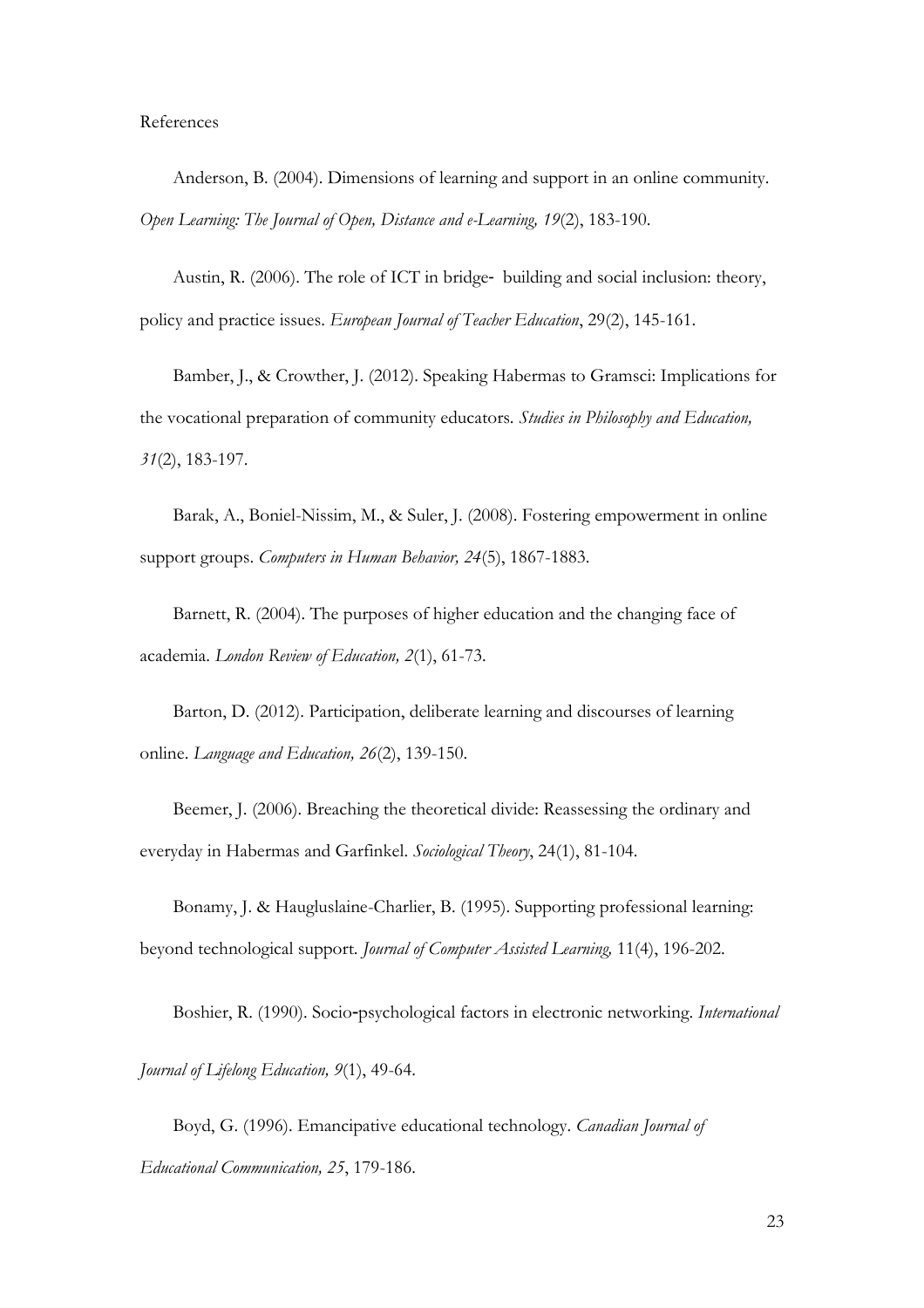#### References

Anderson, B. (2004). Dimensions of learning and support in an online community. *Open Learning: The Journal of Open, Distance and e-Learning, 19*(2), 183-190.

Austin, R. (2006). The role of ICT in bridge-building and social inclusion: theory, policy and practice issues. *European Journal of Teacher Education*, 29(2), 145-161.

Bamber, J., & Crowther, J. (2012). Speaking Habermas to Gramsci: Implications for the vocational preparation of community educators. *Studies in Philosophy and Education, 31*(2), 183-197.

Barak, A., Boniel-Nissim, M., & Suler, J. (2008). Fostering empowerment in online support groups. *Computers in Human Behavior, 24*(5), 1867-1883.

Barnett, R. (2004). The purposes of higher education and the changing face of academia. *London Review of Education, 2*(1), 61-73.

Barton, D. (2012). Participation, deliberate learning and discourses of learning online. *Language and Education, 26*(2), 139-150.

Beemer, J. (2006). Breaching the theoretical divide: Reassessing the ordinary and everyday in Habermas and Garfinkel. *Sociological Theory*, 24(1), 81-104.

Bonamy, J. & Haugluslaine-Charlier, B. (1995). Supporting professional learning: beyond technological support. *Journal of Computer Assisted Learning,* 11(4), 196-202.

Boshier, R. (1990). Socio‐psychological factors in electronic networking. *International* 

*Journal of Lifelong Education, 9*(1), 49-64.

Boyd, G. (1996). Emancipative educational technology. *Canadian Journal of Educational Communication, 25*, 179-186.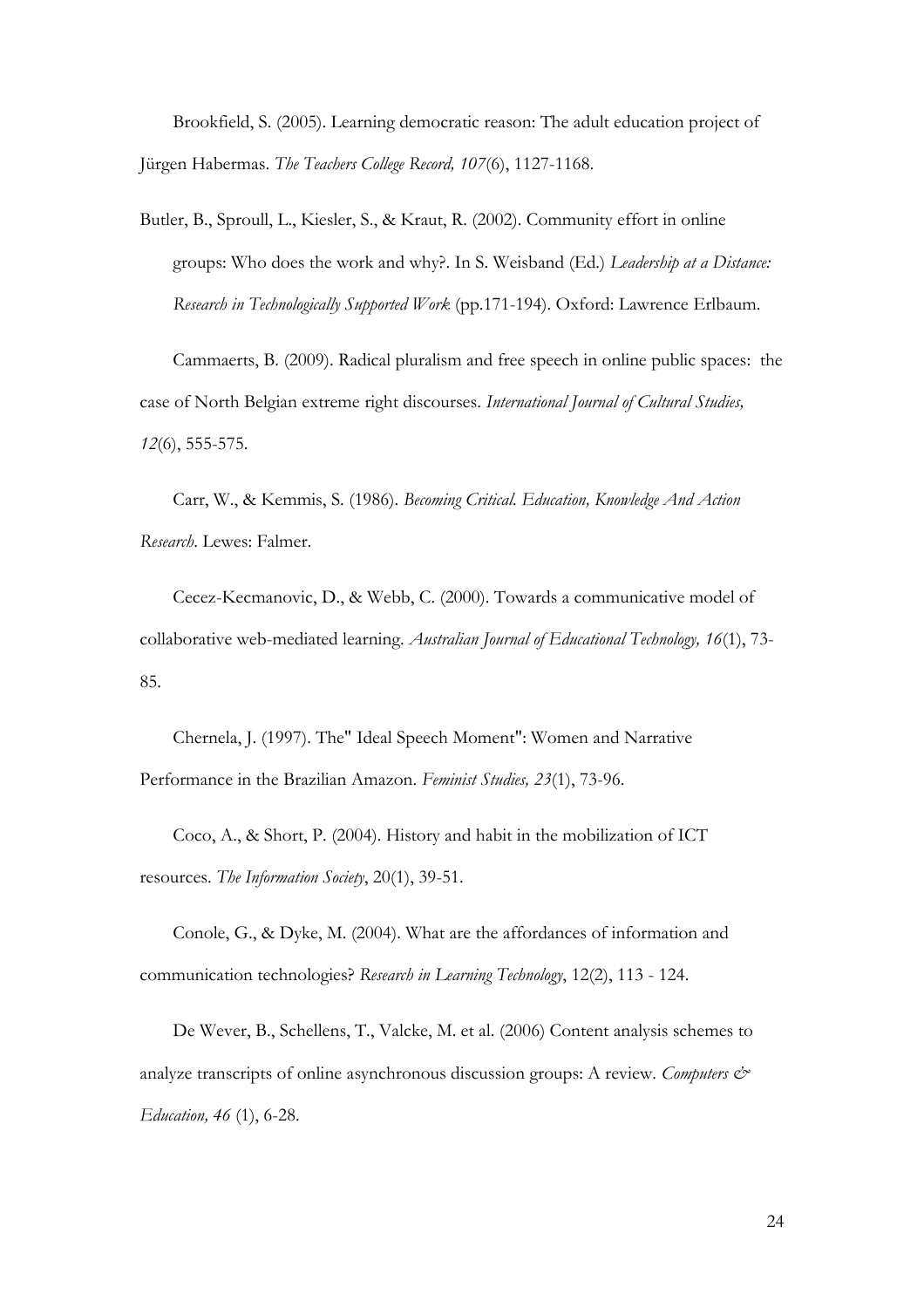Brookfield, S. (2005). Learning democratic reason: The adult education project of Jürgen Habermas. *The Teachers College Record, 107*(6), 1127-1168.

Butler, B., Sproull, L., Kiesler, S., & Kraut, R. (2002). Community effort in online groups: Who does the work and why?. In S. Weisband (Ed.) *Leadership at a Distance: Research in Technologically Supported Work* (pp.171-194). Oxford: Lawrence Erlbaum.

Cammaerts, B. (2009). Radical pluralism and free speech in online public spaces: the case of North Belgian extreme right discourses. *International Journal of Cultural Studies, 12*(6), 555-575.

Carr, W., & Kemmis, S. (1986). *Becoming Critical. Education, Knowledge And Action Research*. Lewes: Falmer.

Cecez-Kecmanovic, D., & Webb, C. (2000). Towards a communicative model of collaborative web-mediated learning. *Australian Journal of Educational Technology, 16*(1), 73- 85.

Chernela, J. (1997). The" Ideal Speech Moment": Women and Narrative Performance in the Brazilian Amazon. *Feminist Studies, 23*(1), 73-96.

Coco, A., & Short, P. (2004). History and habit in the mobilization of ICT resources. *The Information Society*, 20(1), 39-51.

Conole, G., & Dyke, M. (2004). What are the affordances of information and communication technologies? *Research in Learning Technology*, 12(2), 113 - 124.

De Wever, B., Schellens, T., Valcke, M. et al. (2006) Content analysis schemes to analyze transcripts of online asynchronous discussion groups: A review. *Computers & Education, 46* (1), 6-28.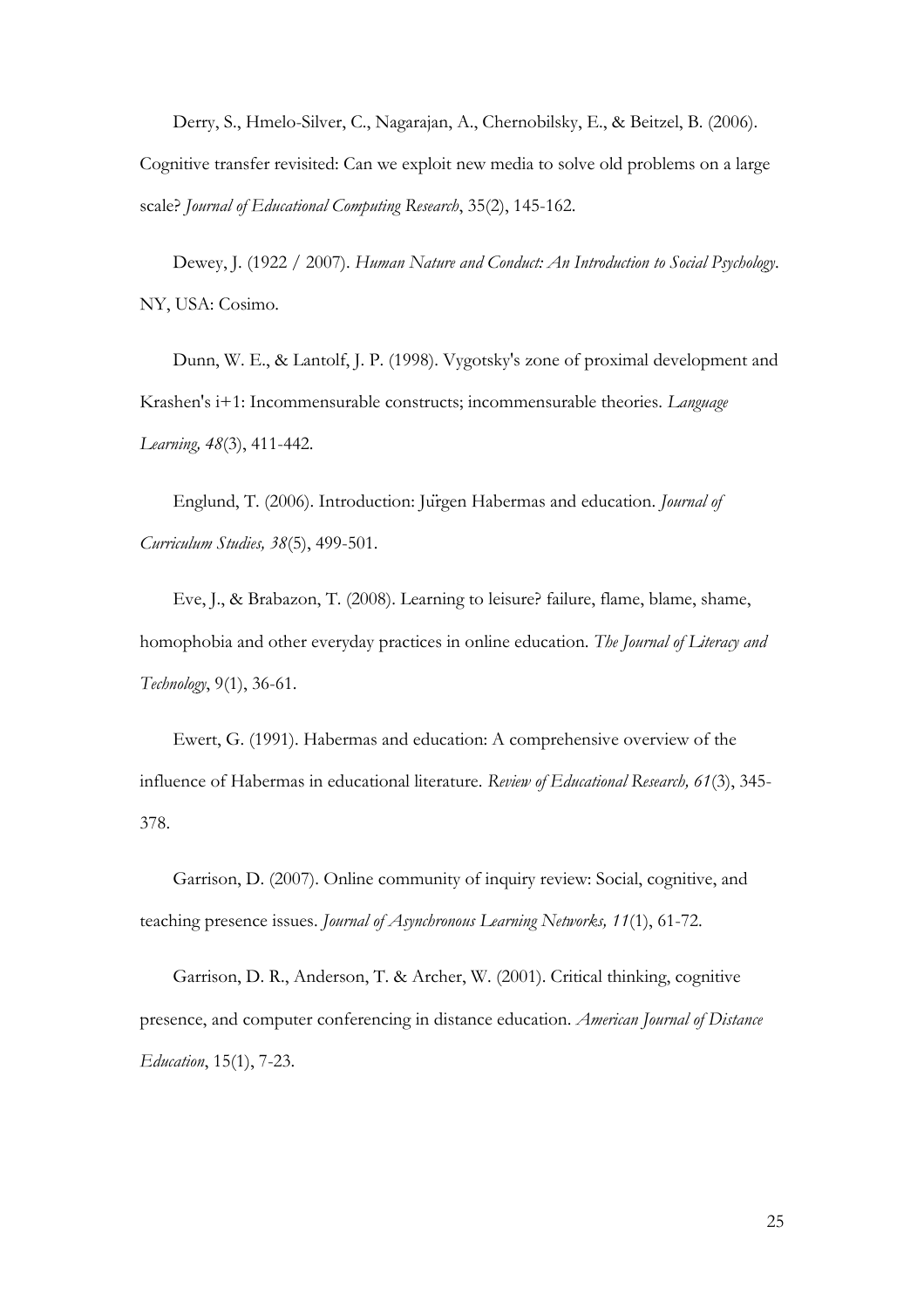Derry, S., Hmelo-Silver, C., Nagarajan, A., Chernobilsky, E., & Beitzel, B. (2006). Cognitive transfer revisited: Can we exploit new media to solve old problems on a large scale? *Journal of Educational Computing Research*, 35(2), 145-162.

Dewey, J. (1922 / 2007). *Human Nature and Conduct: An Introduction to Social Psychology*. NY, USA: Cosimo.

Dunn, W. E., & Lantolf, J. P. (1998). Vygotsky's zone of proximal development and Krashen's i+1: Incommensurable constructs; incommensurable theories. *Language Learning, 48*(3), 411-442.

Englund, T. (2006). Introduction: Jürgen Habermas and education. *Journal of Curriculum Studies, 38*(5), 499-501.

Eve, J., & Brabazon, T. (2008). Learning to leisure? failure, flame, blame, shame, homophobia and other everyday practices in online education. *The Journal of Literacy and Technology*, 9(1), 36-61.

Ewert, G. (1991). Habermas and education: A comprehensive overview of the influence of Habermas in educational literature. *Review of Educational Research, 61*(3), 345- 378.

Garrison, D. (2007). Online community of inquiry review: Social, cognitive, and teaching presence issues. *Journal of Asynchronous Learning Networks, 11*(1), 61-72.

Garrison, D. R., Anderson, T. & Archer, W. (2001). Critical thinking, cognitive presence, and computer conferencing in distance education. *American Journal of Distance Education*, 15(1), 7-23.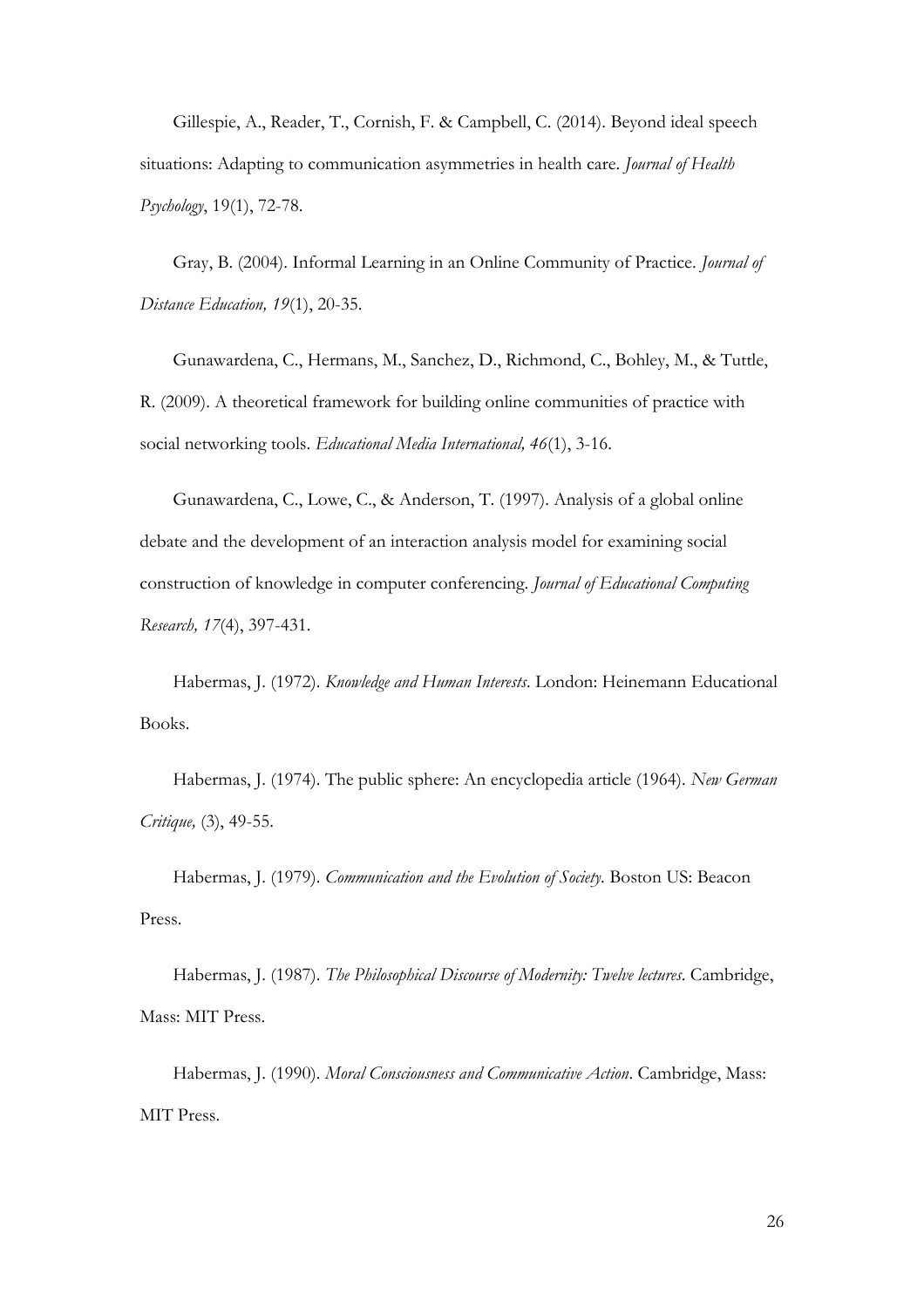Gillespie, A., Reader, T., Cornish, F. & Campbell, C. (2014). Beyond ideal speech situations: Adapting to communication asymmetries in health care. *Journal of Health Psychology*, 19(1), 72-78.

Gray, B. (2004). Informal Learning in an Online Community of Practice. *Journal of Distance Education, 19*(1), 20-35.

Gunawardena, C., Hermans, M., Sanchez, D., Richmond, C., Bohley, M., & Tuttle, R. (2009). A theoretical framework for building online communities of practice with social networking tools. *Educational Media International, 46*(1), 3-16.

Gunawardena, C., Lowe, C., & Anderson, T. (1997). Analysis of a global online debate and the development of an interaction analysis model for examining social construction of knowledge in computer conferencing. *Journal of Educational Computing Research, 17*(4), 397-431.

Habermas, J. (1972). *Knowledge and Human Interests*. London: Heinemann Educational Books.

Habermas, J. (1974). The public sphere: An encyclopedia article (1964). *New German Critique,* (3), 49-55.

Habermas, J. (1979). *Communication and the Evolution of Society*. Boston US: Beacon Press.

Habermas, J. (1987). *The Philosophical Discourse of Modernity: Twelve lectures*. Cambridge, Mass: MIT Press.

Habermas, J. (1990). *Moral Consciousness and Communicative Action*. Cambridge, Mass: MIT Press.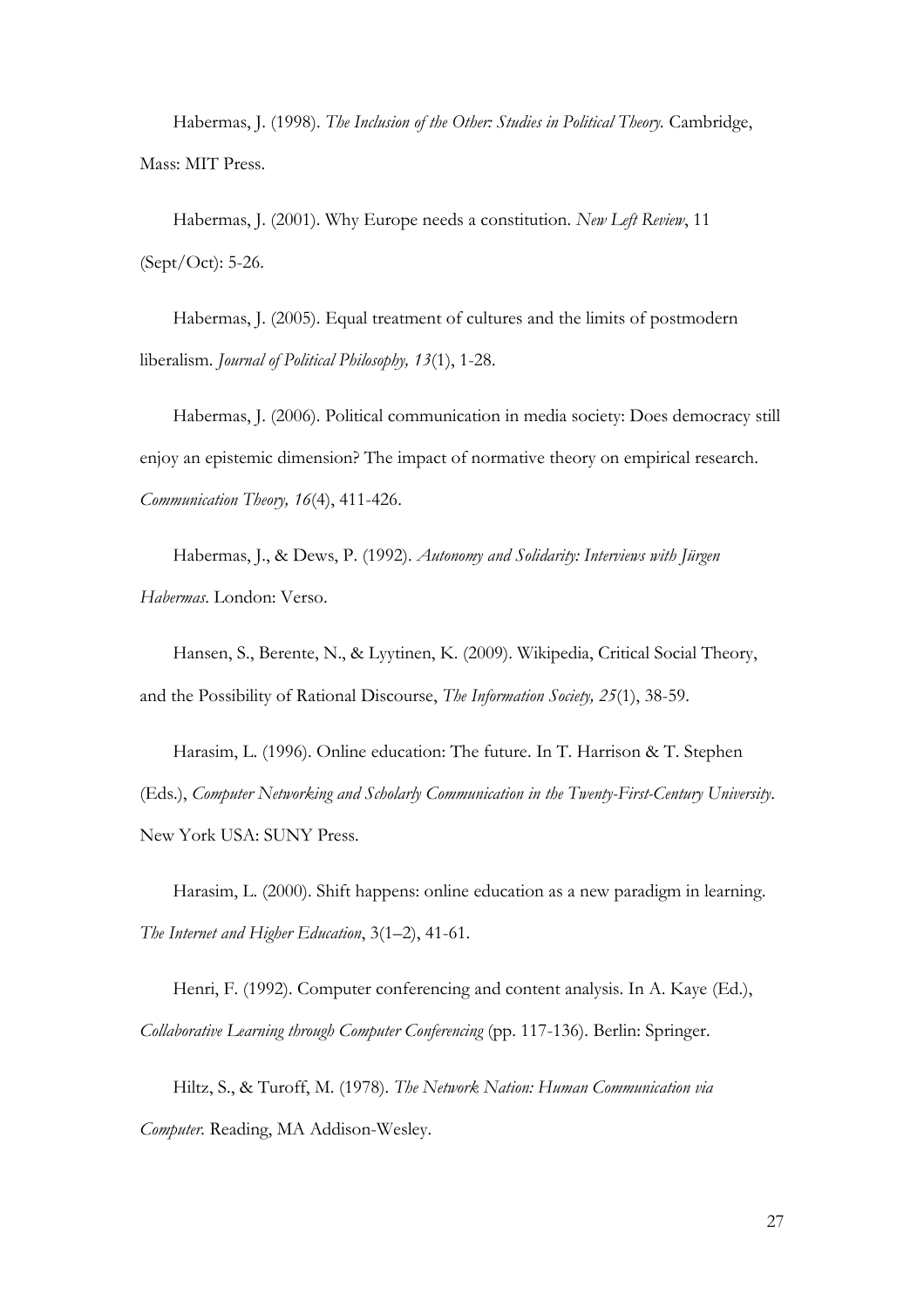Habermas, J. (1998). *The Inclusion of the Other: Studies in Political Theory*. Cambridge, Mass: MIT Press.

Habermas, J. (2001). Why Europe needs a constitution. *New Left Review*, 11 (Sept/Oct): 5-26.

Habermas, J. (2005). Equal treatment of cultures and the limits of postmodern liberalism. *Journal of Political Philosophy, 13*(1), 1-28.

Habermas, J. (2006). Political communication in media society: Does democracy still enjoy an epistemic dimension? The impact of normative theory on empirical research. *Communication Theory, 16*(4), 411-426.

Habermas, J., & Dews, P. (1992). *Autonomy and Solidarity: Interviews with Jürgen Habermas*. London: Verso.

Hansen, S., Berente, N., & Lyytinen, K. (2009). Wikipedia, Critical Social Theory, and the Possibility of Rational Discourse, *The Information Society, 25*(1), 38-59.

Harasim, L. (1996). Online education: The future. In T. Harrison & T. Stephen (Eds.), *Computer Networking and Scholarly Communication in the Twenty-First-Century University*. New York USA: SUNY Press.

Harasim, L. (2000). Shift happens: online education as a new paradigm in learning. *The Internet and Higher Education*, 3(1–2), 41-61.

Henri, F. (1992). Computer conferencing and content analysis. In A. Kaye (Ed.), *Collaborative Learning through Computer Conferencing* (pp. 117-136). Berlin: Springer.

Hiltz, S., & Turoff, M. (1978). *The Network Nation: Human Communication via Computer.* Reading, MA Addison-Wesley.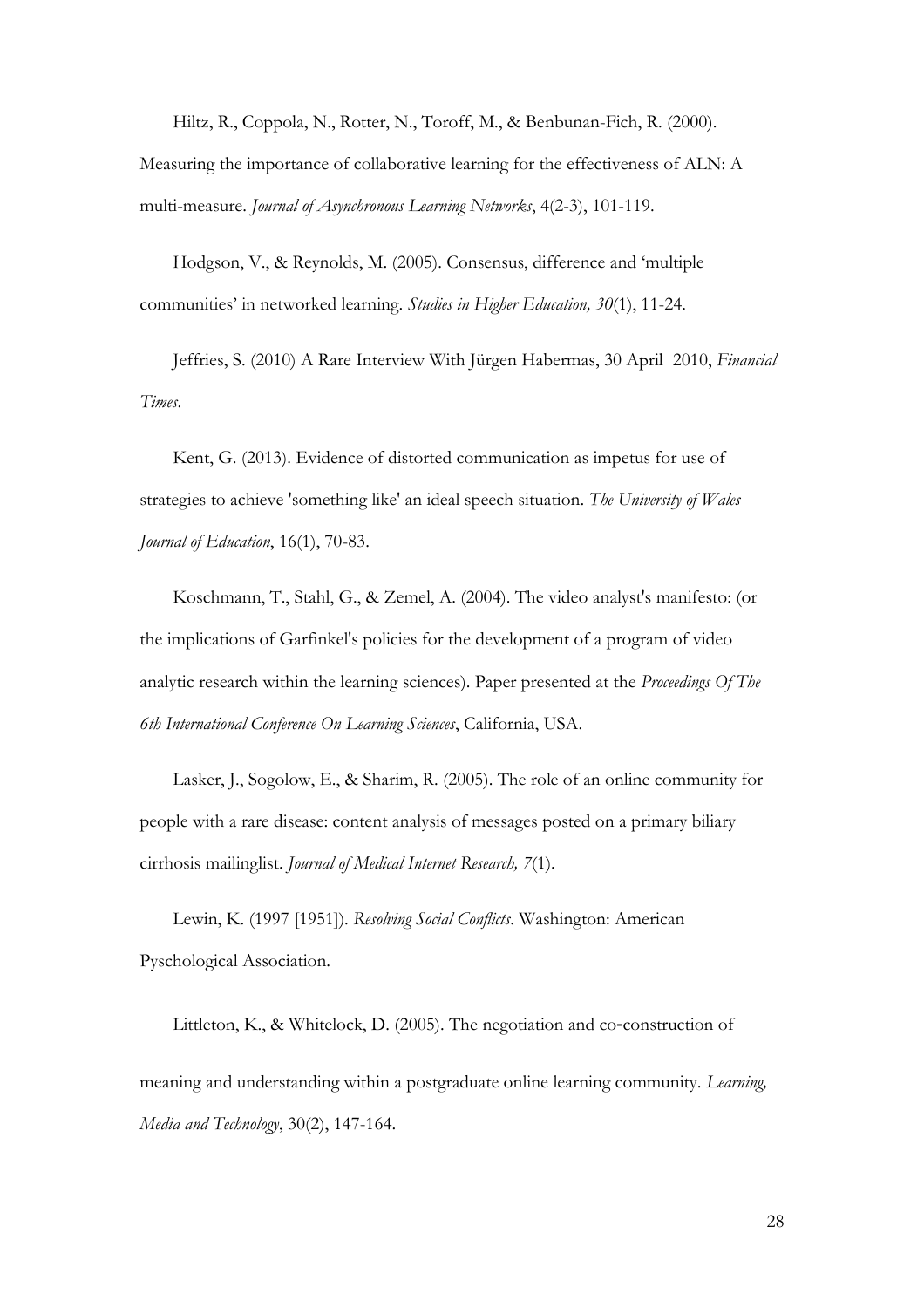Hiltz, R., Coppola, N., Rotter, N., Toroff, M., & Benbunan-Fich, R. (2000). Measuring the importance of collaborative learning for the effectiveness of ALN: A multi-measure. *Journal of Asynchronous Learning Networks*, 4(2-3), 101-119.

Hodgson, V., & Reynolds, M. (2005). Consensus, difference and 'multiple communities' in networked learning. *Studies in Higher Education, 30*(1), 11-24.

Jeffries, S. (2010) A Rare Interview With Jürgen Habermas, 30 April 2010, *Financial Times*.

Kent, G. (2013). Evidence of distorted communication as impetus for use of strategies to achieve 'something like' an ideal speech situation. *The University of Wales Journal of Education*, 16(1), 70-83.

Koschmann, T., Stahl, G., & Zemel, A. (2004). The video analyst's manifesto: (or the implications of Garfinkel's policies for the development of a program of video analytic research within the learning sciences). Paper presented at the *Proceedings Of The 6th International Conference On Learning Sciences*, California, USA.

Lasker, J., Sogolow, E., & Sharim, R. (2005). The role of an online community for people with a rare disease: content analysis of messages posted on a primary biliary cirrhosis mailinglist. *Journal of Medical Internet Research, 7*(1).

Lewin, K. (1997 [1951]). *Resolving Social Conflicts*. Washington: American Pyschological Association.

Littleton, K., & Whitelock, D. (2005). The negotiation and co-construction of meaning and understanding within a postgraduate online learning community. *Learning, Media and Technology*, 30(2), 147-164.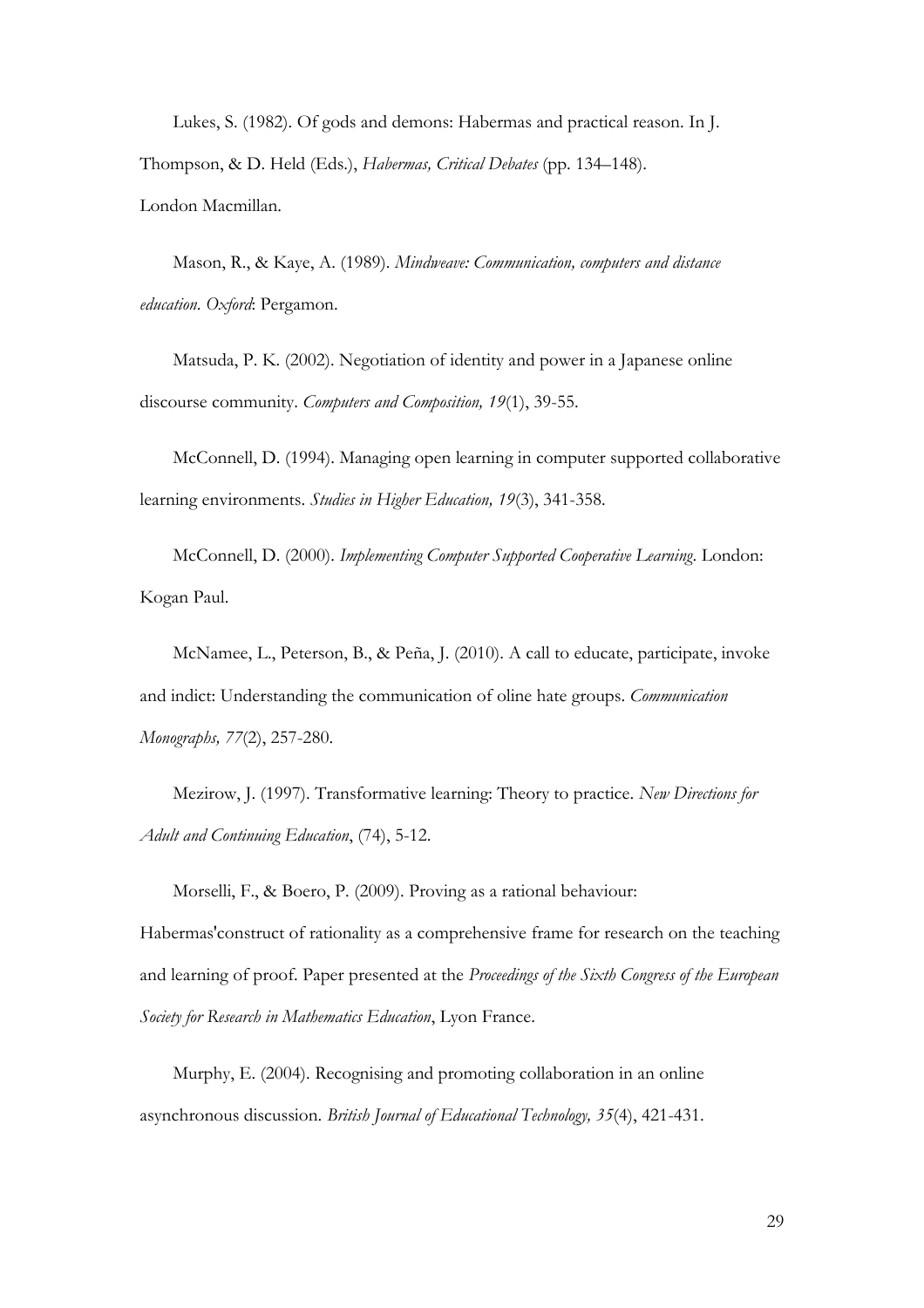Lukes, S. (1982). Of gods and demons: Habermas and practical reason. In J. Thompson, & D. Held (Eds.), *Habermas, Critical Debates* (pp. 134–148). London Macmillan.

Mason, R., & Kaye, A. (1989). *Mindweave: Communication, computers and distance education*. *Oxford*: Pergamon.

Matsuda, P. K. (2002). Negotiation of identity and power in a Japanese online discourse community. *Computers and Composition, 19*(1), 39-55.

McConnell, D. (1994). Managing open learning in computer supported collaborative learning environments. *Studies in Higher Education, 19*(3), 341-358.

McConnell, D. (2000). *Implementing Computer Supported Cooperative Learning*. London: Kogan Paul.

McNamee, L., Peterson, B., & Peña, J. (2010). A call to educate, participate, invoke and indict: Understanding the communication of oline hate groups. *Communication Monographs, 77*(2), 257-280.

Mezirow, J. (1997). Transformative learning: Theory to practice. *New Directions for Adult and Continuing Education*, (74), 5-12.

Morselli, F., & Boero, P. (2009). Proving as a rational behaviour: Habermas'construct of rationality as a comprehensive frame for research on the teaching and learning of proof. Paper presented at the *Proceedings of the Sixth Congress of the European Society for Research in Mathematics Education*, Lyon France.

Murphy, E. (2004). Recognising and promoting collaboration in an online asynchronous discussion. *British Journal of Educational Technology, 35*(4), 421-431.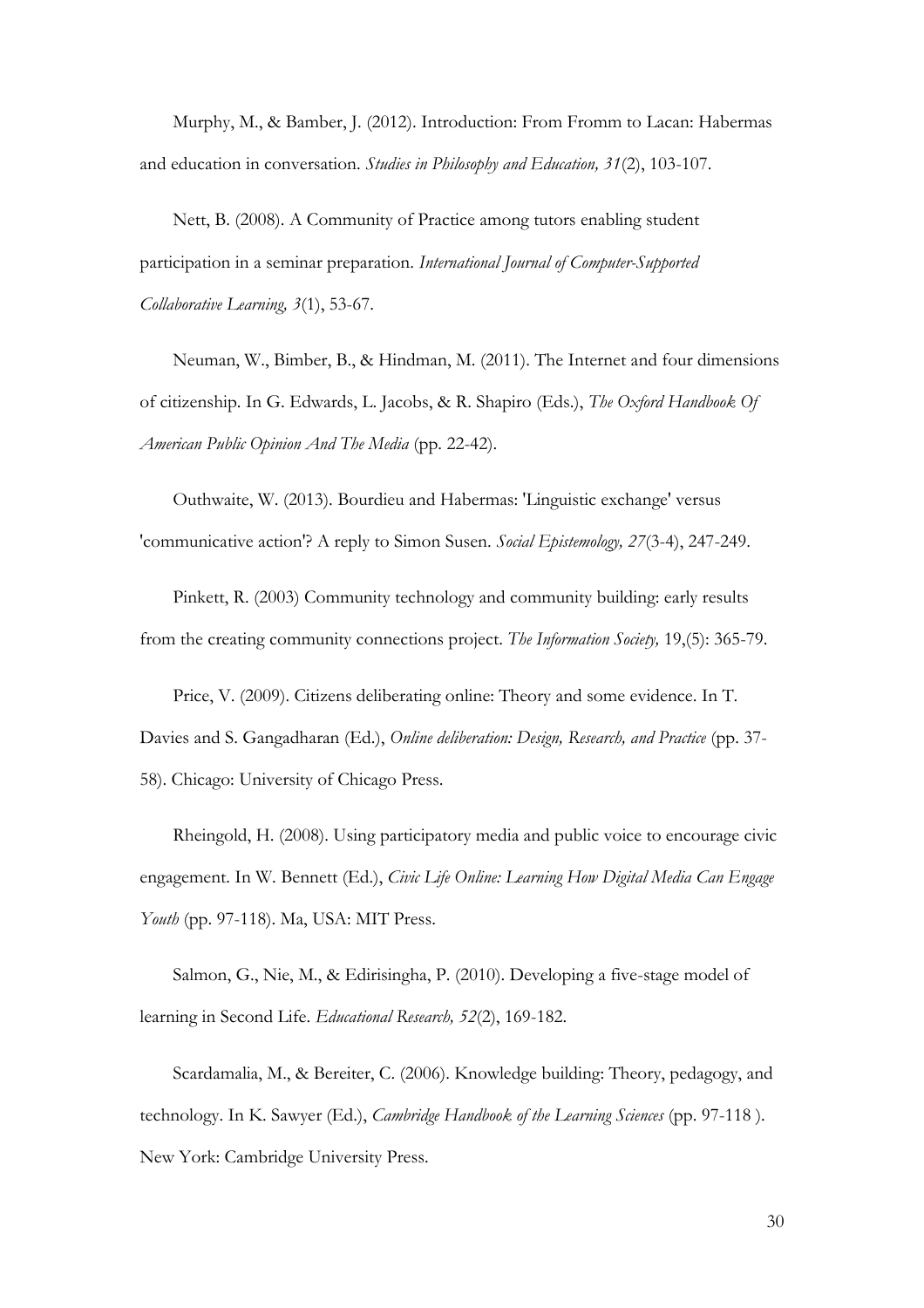Murphy, M., & Bamber, J. (2012). Introduction: From Fromm to Lacan: Habermas and education in conversation. *Studies in Philosophy and Education, 31*(2), 103-107.

Nett, B. (2008). A Community of Practice among tutors enabling student participation in a seminar preparation. *International Journal of Computer-Supported Collaborative Learning, 3*(1), 53-67.

Neuman, W., Bimber, B., & Hindman, M. (2011). The Internet and four dimensions of citizenship. In G. Edwards, L. Jacobs, & R. Shapiro (Eds.), *The Oxford Handbook Of American Public Opinion And The Media* (pp. 22-42).

Outhwaite, W. (2013). Bourdieu and Habermas: 'Linguistic exchange' versus 'communicative action'? A reply to Simon Susen. *Social Epistemology, 27*(3-4), 247-249.

Pinkett, R. (2003) Community technology and community building: early results from the creating community connections project. *The Information Society,* 19,(5): 365-79.

Price, V. (2009). Citizens deliberating online: Theory and some evidence. In T. Davies and S. Gangadharan (Ed.), *Online deliberation: Design, Research, and Practice* (pp. 37- 58). Chicago: University of Chicago Press.

Rheingold, H. (2008). Using participatory media and public voice to encourage civic engagement. In W. Bennett (Ed.), *Civic Life Online: Learning How Digital Media Can Engage Youth* (pp. 97-118). Ma, USA: MIT Press.

Salmon, G., Nie, M., & Edirisingha, P. (2010). Developing a five-stage model of learning in Second Life. *Educational Research, 52*(2), 169-182.

Scardamalia, M., & Bereiter, C. (2006). Knowledge building: Theory, pedagogy, and technology. In K. Sawyer (Ed.), *Cambridge Handbook of the Learning Sciences* (pp. 97-118 ). New York: Cambridge University Press.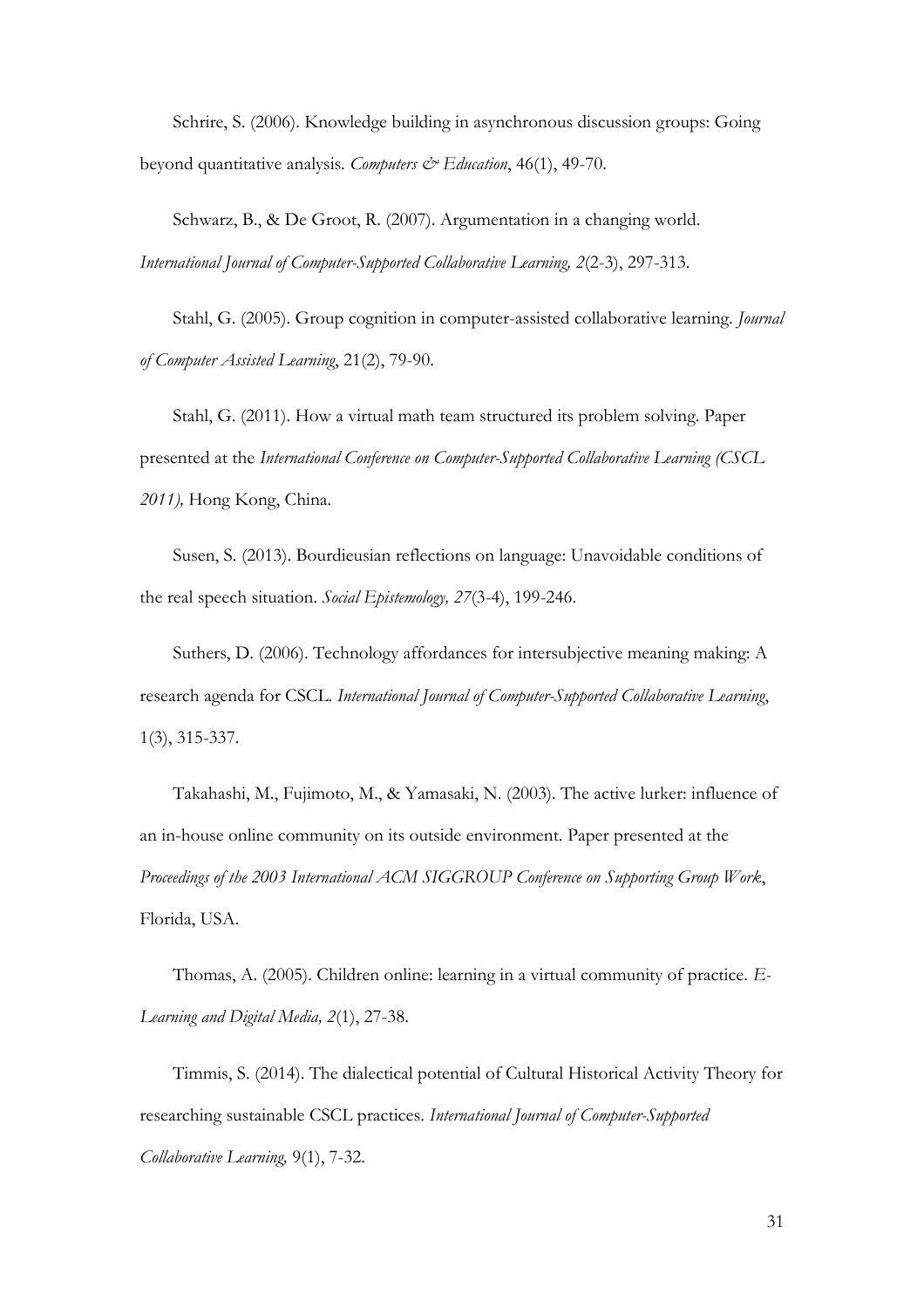Schrire, S. (2006). Knowledge building in asynchronous discussion groups: Going beyond quantitative analysis*. Computers & Education*, 46(1), 49-70.

Schwarz, B., & De Groot, R. (2007). Argumentation in a changing world. *International Journal of Computer-Supported Collaborative Learning, 2*(2-3), 297-313.

Stahl, G. (2005). Group cognition in computer-assisted collaborative learning. *Journal of Computer Assisted Learning*, 21(2), 79-90.

Stahl, G. (2011). How a virtual math team structured its problem solving. Paper presented at the *International Conference on Computer-Supported Collaborative Learning (CSCL 2011),* Hong Kong, China.

Susen, S. (2013). Bourdieusian reflections on language: Unavoidable conditions of the real speech situation. *Social Epistemology, 27*(3-4), 199-246.

Suthers, D. (2006). Technology affordances for intersubjective meaning making: A research agenda for CSCL. *International Journal of Computer-Supported Collaborative Learning*, 1(3), 315-337.

Takahashi, M., Fujimoto, M., & Yamasaki, N. (2003). The active lurker: influence of an in-house online community on its outside environment. Paper presented at the *Proceedings of the 2003 International ACM SIGGROUP Conference on Supporting Group Work*, Florida, USA.

Thomas, A. (2005). Children online: learning in a virtual community of practice. *E-Learning and Digital Media, 2*(1), 27-38.

Timmis, S. (2014). The dialectical potential of Cultural Historical Activity Theory for researching sustainable CSCL practices. *International Journal of Computer-Supported Collaborative Learning,* 9(1), 7-32.